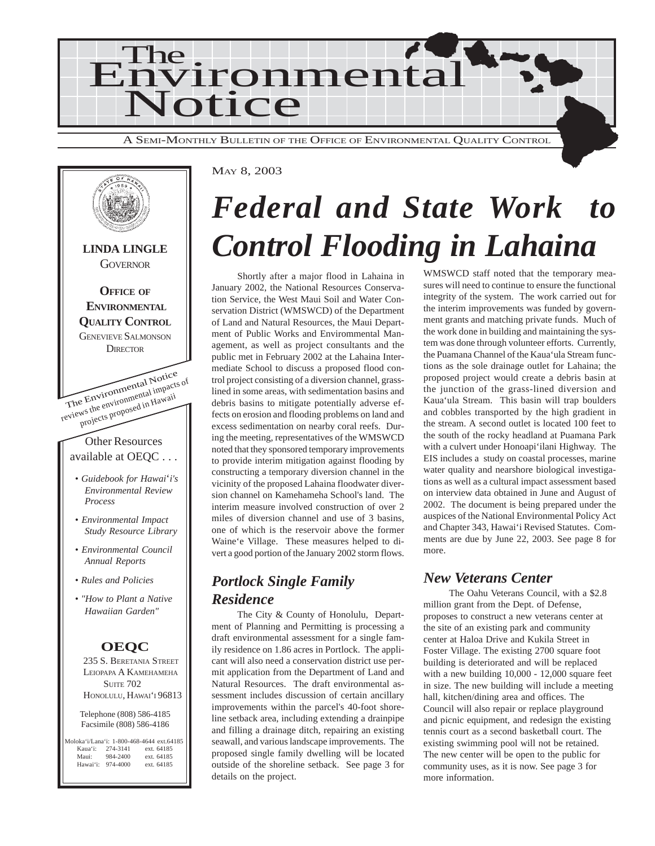

MAY 8, 2003



## *Federal and State Work to Control Flooding in Lahaina*

Shortly after a major flood in Lahaina in January 2002, the National Resources Conservation Service, the West Maui Soil and Water Conservation District (WMSWCD) of the Department of Land and Natural Resources, the Maui Department of Public Works and Envirommental Management, as well as project consultants and the public met in February 2002 at the Lahaina Intermediate School to discuss a proposed flood control project consisting of a diversion channel, grasslined in some areas, with sedimentation basins and debris basins to mitigate potentially adverse effects on erosion and flooding problems on land and excess sedimentation on nearby coral reefs. During the meeting, representatives of the WMSWCD noted that they sponsored temporary improvements to provide interim mitigation against flooding by constructing a temporary diversion channel in the vicinity of the proposed Lahaina floodwater diversion channel on Kamehameha School's land. The interim measure involved construction of over 2 miles of diversion channel and use of 3 basins, one of which is the reservoir above the former Waine'e Village. These measures helped to divert a good portion of the January 2002 storm flows.

#### *Portlock Single Family Residence*

The City & County of Honolulu, Department of Planning and Permitting is processing a draft environmental assessment for a single family residence on 1.86 acres in Portlock. The applicant will also need a conservation district use permit application from the Department of Land and Natural Resources. The draft environmental assessment includes discussion of certain ancillary improvements within the parcel's 40-foot shoreline setback area, including extending a drainpipe and filling a drainage ditch, repairing an existing seawall, and various landscape improvements. The proposed single family dwelling will be located outside of the shoreline setback. See page 3 for details on the project.

WMSWCD staff noted that the temporary measures will need to continue to ensure the functional integrity of the system. The work carried out for the interim improvements was funded by government grants and matching private funds. Much of the work done in building and maintaining the system was done through volunteer efforts. Currently, the Puamana Channel of the Kaua'ula Stream functions as the sole drainage outlet for Lahaina; the proposed project would create a debris basin at the junction of the grass-lined diversion and Kaua'ula Stream. This basin will trap boulders and cobbles transported by the high gradient in the stream. A second outlet is located 100 feet to the south of the rocky headland at Puamana Park with a culvert under Honoapi'ilani Highway. The EIS includes a study on coastal processes, marine water quality and nearshore biological investigations as well as a cultural impact assessment based on interview data obtained in June and August of 2002. The document is being prepared under the auspices of the National Environmental Policy Act and Chapter 343, Hawai'i Revised Statutes. Comments are due by June 22, 2003. See page 8 for more.

#### *New Veterans Center*

The Oahu Veterans Council, with a \$2.8 million grant from the Dept. of Defense, proposes to construct a new veterans center at the site of an existing park and community center at Haloa Drive and Kukila Street in Foster Village. The existing 2700 square foot building is deteriorated and will be replaced with a new building 10,000 - 12,000 square feet in size. The new building will include a meeting hall, kitchen/dining area and offices. The Council will also repair or replace playground and picnic equipment, and redesign the existing tennis court as a second basketball court. The existing swimming pool will not be retained. The new center will be open to the public for community uses, as it is now. See page 3 for more information.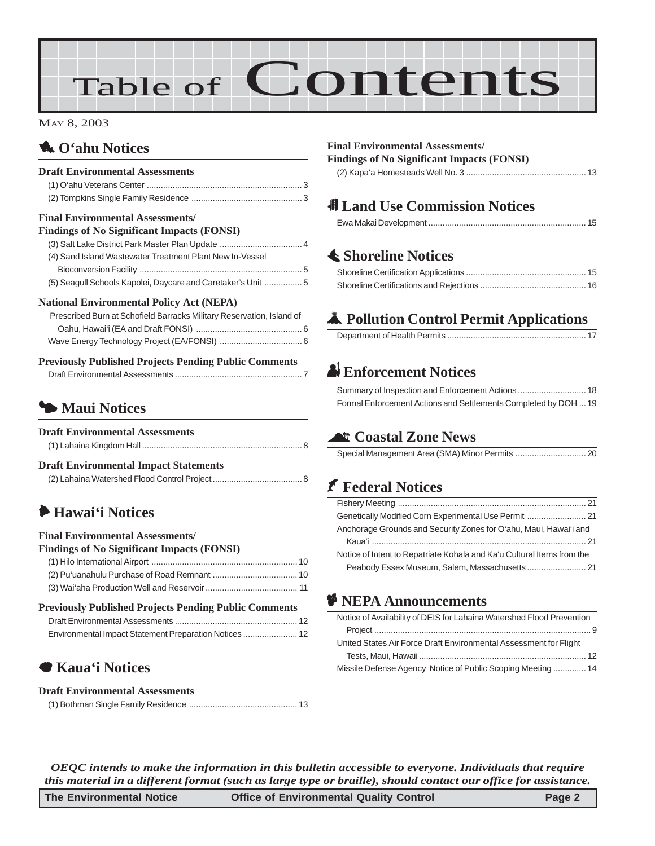# Table of Contents

#### MAY 8, 2003

### **1.** O'ahu Notices

| <b>Draft Environmental Assessments</b>                                |
|-----------------------------------------------------------------------|
| <b>Final Environmental Assessments/</b>                               |
| <b>Findings of No Significant Impacts (FONSI)</b>                     |
|                                                                       |
| (4) Sand Island Wastewater Treatment Plant New In-Vessel              |
|                                                                       |
| (5) Seagull Schools Kapolei, Daycare and Caretaker's Unit  5          |
| <b>National Environmental Policy Act (NEPA)</b>                       |
| Prescribed Burn at Schofield Barracks Military Reservation, Island of |
|                                                                       |
|                                                                       |
| <b>Previously Published Projects Pending Public Comments</b>          |
|                                                                       |
|                                                                       |

### 3 **Maui Notices**

| <b>Draft Environmental Assessments</b>       |  |
|----------------------------------------------|--|
|                                              |  |
| <b>Draft Environmental Impact Statements</b> |  |
|                                              |  |

### 6 **Hawai'i Notices**

#### **Final Environmental Assessments/ Findings of No Significant Impacts (FONSI)** (1) Hilo International Airport [.............................................................. 10](#page-9-0) [\(2\) Pu'uanahulu Purchase of Road Remnant](#page-9-0) .................................... 10 [\(3\) Wai'aha Production Well and Reservoir....................................... 11](#page-10-0) **Previously Published Projects Pending Public Comments** Draft Environmental Assessments [.................................................... 12](#page-11-0)

| Environmental Impact Statement Preparation Notices  12 |  |
|--------------------------------------------------------|--|

### 7 **Kaua'i Notices**

#### **Draft Environmental Assessments**

|--|

#### **Final Environmental Assessments/**

**Findings of No Significant Impacts (FONSI)** [\(2\) Kapa'a Homesteads Well No. 3 ................................................... 13](#page-12-0)

### 0 **Land Use Commission Notices**

Ewa Makai Development ................................................................... 15

### s **Shoreline Notices**

### V **Pollution Control Permit Applications**

### x **Enforcement Notices**

| Formal Enforcement Actions and Settlements Completed by DOH  19 |  |
|-----------------------------------------------------------------|--|

### ^ **Coastal Zone News**

[Special Management Area \(SMA\) Minor Permits](#page-19-0) .............................. 20

### J **Federal Notices**

| Anchorage Grounds and Security Zones for O'ahu, Maui, Hawai'i and      |  |
|------------------------------------------------------------------------|--|
|                                                                        |  |
| Notice of Intent to Repatriate Kohala and Ka'u Cultural Items from the |  |
|                                                                        |  |
|                                                                        |  |

### **P** NEPA Announcements

*OEQC intends to make the information in this bulletin accessible to everyone. Individuals that require this material in a different format (such as large type or braille), should contact our office for assistance.*

| The Environmental Notice | <b>Office of Environmental Quality Control</b> | Page 2 |
|--------------------------|------------------------------------------------|--------|
|--------------------------|------------------------------------------------|--------|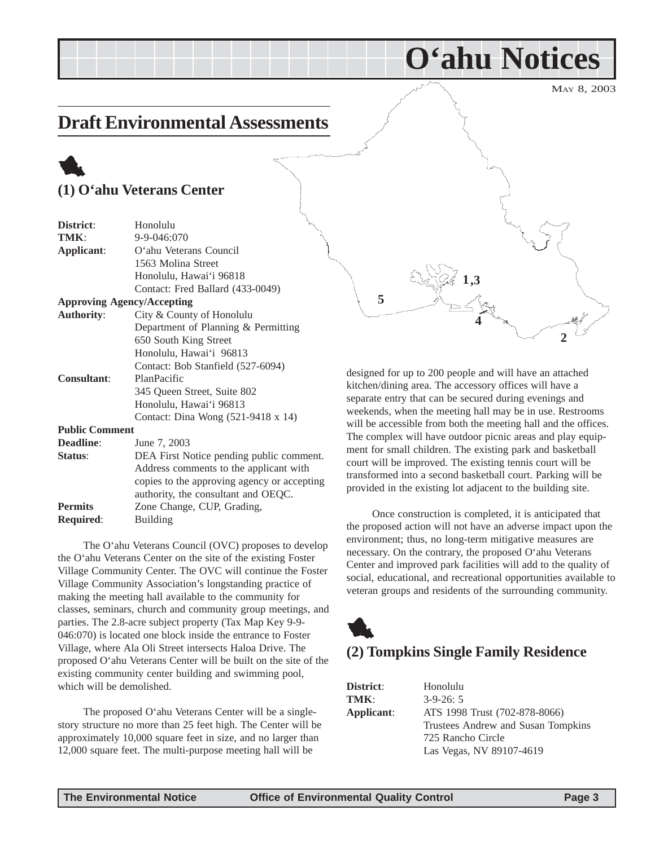#### MAY 8, 2003

### <span id="page-2-0"></span>**Draft Environmental Assessments**

### 1 **(1) O'ahu Veterans Center**

| District:             | سمهو<br>Honolulu                            |
|-----------------------|---------------------------------------------|
| TMK:                  | 9-9-046:070                                 |
| Applicant:            | O'ahu Veterans Council                      |
|                       | 1563 Molina Street                          |
|                       | Honolulu, Hawai'i 96818                     |
|                       | Contact: Fred Ballard (433-0049)            |
|                       | <b>Approving Agency/Accepting</b>           |
| <b>Authority:</b>     | City & County of Honolulu                   |
|                       | Department of Planning & Permitting         |
|                       | 650 South King Street                       |
|                       | Honolulu, Hawai'i 96813                     |
|                       | Contact: Bob Stanfield (527-6094)           |
| <b>Consultant:</b>    | PlanPacific                                 |
|                       | 345 Queen Street, Suite 802                 |
|                       | Honolulu, Hawai'i 96813                     |
|                       | Contact: Dina Wong (521-9418 x 14)          |
| <b>Public Comment</b> |                                             |
| Deadline:             | June 7, 2003                                |
| Status:               | DEA First Notice pending public comment.    |
|                       | Address comments to the applicant with      |
|                       | copies to the approving agency or accepting |
|                       | authority, the consultant and OEQC.         |
| <b>Permits</b>        | Zone Change, CUP, Grading,                  |

The O'ahu Veterans Council (OVC) proposes to develop the O'ahu Veterans Center on the site of the existing Foster Village Community Center. The OVC will continue the Foster Village Community Association's longstanding practice of making the meeting hall available to the community for classes, seminars, church and community group meetings, and parties. The 2.8-acre subject property (Tax Map Key 9-9- 046:070) is located one block inside the entrance to Foster Village, where Ala Oli Street intersects Haloa Drive. The proposed O'ahu Veterans Center will be built on the site of the existing community center building and swimming pool, which will be demolished.

The proposed O'ahu Veterans Center will be a singlestory structure no more than 25 feet high. The Center will be approximately 10,000 square feet in size, and no larger than 12,000 square feet. The multi-purpose meeting hall will be



**O'ahu Notices**

designed for up to 200 people and will have an attached kitchen/dining area. The accessory offices will have a separate entry that can be secured during evenings and weekends, when the meeting hall may be in use. Restrooms will be accessible from both the meeting hall and the offices. The complex will have outdoor picnic areas and play equipment for small children. The existing park and basketball court will be improved. The existing tennis court will be transformed into a second basketball court. Parking will be provided in the existing lot adjacent to the building site.

Once construction is completed, it is anticipated that the proposed action will not have an adverse impact upon the environment; thus, no long-term mitigative measures are necessary. On the contrary, the proposed O'ahu Veterans Center and improved park facilities will add to the quality of social, educational, and recreational opportunities available to veteran groups and residents of the surrounding community.

### 1 **(2) Tompkins Single Family Residence**

| District:  | Honolulu                           |
|------------|------------------------------------|
| TMK:       | $3-9-26:5$                         |
| Applicant: | ATS 1998 Trust (702-878-8066)      |
|            | Trustees Andrew and Susan Tompkins |
|            | 725 Rancho Circle                  |
|            | Las Vegas, NV 89107-4619           |

**Required**: Building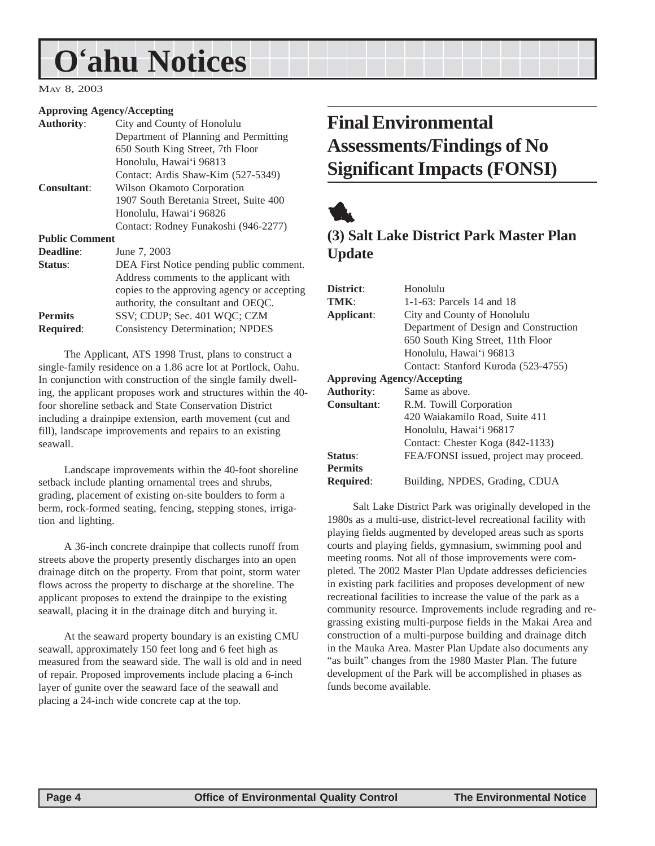## <span id="page-3-0"></span>**O'ahu Notices**

#### MAY 8, 2003

#### **Approving Agency/Accepting**

| <b>Authority:</b>     | City and County of Honolulu                 |
|-----------------------|---------------------------------------------|
|                       | Department of Planning and Permitting       |
|                       | 650 South King Street, 7th Floor            |
|                       | Honolulu, Hawai'i 96813                     |
|                       | Contact: Ardis Shaw-Kim (527-5349)          |
| <b>Consultant:</b>    | Wilson Okamoto Corporation                  |
|                       | 1907 South Beretania Street, Suite 400      |
|                       | Honolulu, Hawai'i 96826                     |
|                       | Contact: Rodney Funakoshi (946-2277)        |
| <b>Public Comment</b> |                                             |
| <b>Deadline:</b>      | June 7, 2003                                |
| Status:               | DEA First Notice pending public comment.    |
|                       | Address comments to the applicant with      |
|                       | copies to the approving agency or accepting |
|                       | authority, the consultant and OEQC.         |
| <b>Permits</b>        | SSV; CDUP; Sec. 401 WQC; CZM                |
| <b>Required:</b>      | <b>Consistency Determination; NPDES</b>     |
|                       |                                             |

The Applicant, ATS 1998 Trust, plans to construct a single-family residence on a 1.86 acre lot at Portlock, Oahu. In conjunction with construction of the single family dwelling, the applicant proposes work and structures within the 40 foor shoreline setback and State Conservation District including a drainpipe extension, earth movement (cut and fill), landscape improvements and repairs to an existing seawall.

Landscape improvements within the 40-foot shoreline setback include planting ornamental trees and shrubs, grading, placement of existing on-site boulders to form a berm, rock-formed seating, fencing, stepping stones, irrigation and lighting.

A 36-inch concrete drainpipe that collects runoff from streets above the property presently discharges into an open drainage ditch on the property. From that point, storm water flows across the property to discharge at the shoreline. The applicant proposes to extend the drainpipe to the existing seawall, placing it in the drainage ditch and burying it.

At the seaward property boundary is an existing CMU seawall, approximately 150 feet long and 6 feet high as measured from the seaward side. The wall is old and in need of repair. Proposed improvements include placing a 6-inch layer of gunite over the seaward face of the seawall and placing a 24-inch wide concrete cap at the top.

### **Final Environmental Assessments/Findings of No Significant Impacts (FONSI)**



### **(3) Salt Lake District Park Master Plan Update**

| District:                         | Honolulu                               |
|-----------------------------------|----------------------------------------|
| TMK:                              | 1-1-63: Parcels 14 and 18              |
| Applicant:                        | City and County of Honolulu            |
|                                   | Department of Design and Construction  |
|                                   | 650 South King Street, 11th Floor      |
|                                   | Honolulu, Hawai'i 96813                |
|                                   | Contact: Stanford Kuroda (523-4755)    |
| <b>Approving Agency/Accepting</b> |                                        |
| <b>Authority:</b>                 | Same as above.                         |
| <b>Consultant:</b>                | R.M. Towill Corporation                |
|                                   | 420 Waiakamilo Road, Suite 411         |
|                                   | Honolulu, Hawai'i 96817                |
|                                   | Contact: Chester Koga (842-1133)       |
| Status:                           | FEA/FONSI issued, project may proceed. |
| <b>Permits</b>                    |                                        |
| <b>Required:</b>                  | Building, NPDES, Grading, CDUA         |

Salt Lake District Park was originally developed in the 1980s as a multi-use, district-level recreational facility with playing fields augmented by developed areas such as sports courts and playing fields, gymnasium, swimming pool and meeting rooms. Not all of those improvements were completed. The 2002 Master Plan Update addresses deficiencies in existing park facilities and proposes development of new recreational facilities to increase the value of the park as a community resource. Improvements include regrading and regrassing existing multi-purpose fields in the Makai Area and construction of a multi-purpose building and drainage ditch in the Mauka Area. Master Plan Update also documents any "as built" changes from the 1980 Master Plan. The future development of the Park will be accomplished in phases as funds become available.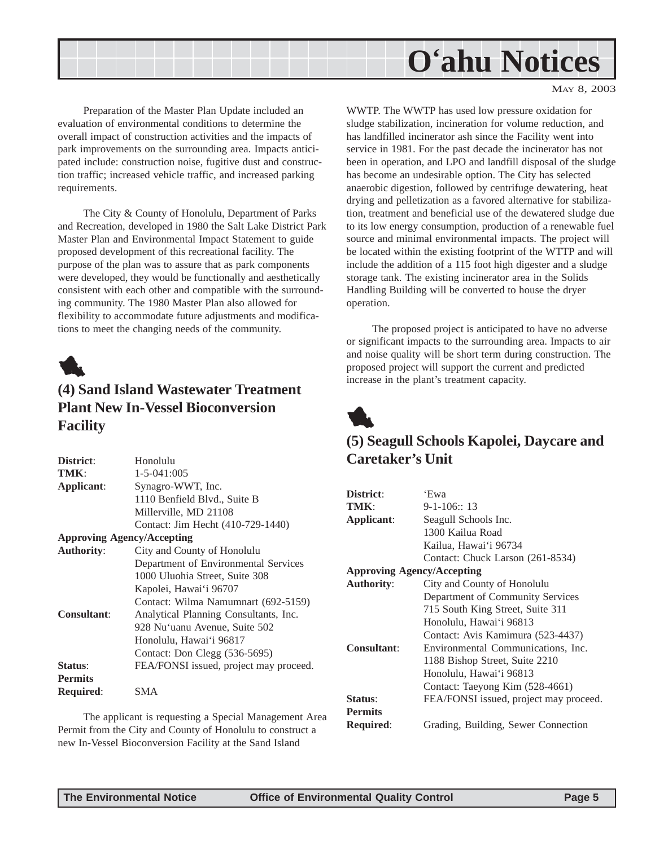## **O'ahu Notices**

MAY 8, 2003

<span id="page-4-0"></span>Preparation of the Master Plan Update included an evaluation of environmental conditions to determine the overall impact of construction activities and the impacts of park improvements on the surrounding area. Impacts anticipated include: construction noise, fugitive dust and construction traffic; increased vehicle traffic, and increased parking requirements.

The City & County of Honolulu, Department of Parks and Recreation, developed in 1980 the Salt Lake District Park Master Plan and Environmental Impact Statement to guide proposed development of this recreational facility. The purpose of the plan was to assure that as park components were developed, they would be functionally and aesthetically consistent with each other and compatible with the surrounding community. The 1980 Master Plan also allowed for flexibility to accommodate future adjustments and modifications to meet the changing needs of the community.



### **(4) Sand Island Wastewater Treatment Plant New In-Vessel Bioconversion Facility**

| District:                         | Honolulu                               |
|-----------------------------------|----------------------------------------|
| TMK:                              | $1 - 5 - 041:005$                      |
| Applicant:                        | Synagro-WWT, Inc.                      |
|                                   | 1110 Benfield Blvd., Suite B           |
|                                   | Millerville, MD 21108                  |
|                                   | Contact: Jim Hecht (410-729-1440)      |
| <b>Approving Agency/Accepting</b> |                                        |
| <b>Authority:</b>                 | City and County of Honolulu            |
|                                   | Department of Environmental Services   |
|                                   | 1000 Uluohia Street, Suite 308         |
|                                   | Kapolei, Hawai'i 96707                 |
|                                   | Contact: Wilma Namumnart (692-5159)    |
| <b>Consultant:</b>                | Analytical Planning Consultants, Inc.  |
|                                   | 928 Nu'uanu Avenue, Suite 502          |
|                                   | Honolulu, Hawai'i 96817                |
|                                   | Contact: Don Clegg (536-5695)          |
| Status:                           | FEA/FONSI issued, project may proceed. |
| <b>Permits</b>                    |                                        |
| <b>Required:</b>                  | SMA                                    |
|                                   |                                        |

The applicant is requesting a Special Management Area Permit from the City and County of Honolulu to construct a new In-Vessel Bioconversion Facility at the Sand Island

WWTP. The WWTP has used low pressure oxidation for sludge stabilization, incineration for volume reduction, and has landfilled incinerator ash since the Facility went into service in 1981. For the past decade the incinerator has not been in operation, and LPO and landfill disposal of the sludge has become an undesirable option. The City has selected anaerobic digestion, followed by centrifuge dewatering, heat drying and pelletization as a favored alternative for stabilization, treatment and beneficial use of the dewatered sludge due to its low energy consumption, production of a renewable fuel source and minimal environmental impacts. The project will be located within the existing footprint of the WTTP and will include the addition of a 115 foot high digester and a sludge storage tank. The existing incinerator area in the Solids Handling Building will be converted to house the dryer operation.

The proposed project is anticipated to have no adverse or significant impacts to the surrounding area. Impacts to air and noise quality will be short term during construction. The proposed project will support the current and predicted increase in the plant's treatment capacity.



### **(5) Seagull Schools Kapolei, Daycare and Caretaker's Unit**

| District:                         | 'Ewa                                   |
|-----------------------------------|----------------------------------------|
| TMK:                              | $9-1-106$ :: 13                        |
| Applicant:                        | Seagull Schools Inc.                   |
|                                   | 1300 Kailua Road                       |
|                                   | Kailua, Hawai'i 96734                  |
|                                   | Contact: Chuck Larson (261-8534)       |
| <b>Approving Agency/Accepting</b> |                                        |
| <b>Authority:</b>                 | City and County of Honolulu            |
|                                   | Department of Community Services       |
|                                   | 715 South King Street, Suite 311       |
|                                   | Honolulu, Hawai'i 96813                |
|                                   | Contact: Avis Kamimura (523-4437)      |
| Consultant:                       | Environmental Communications, Inc.     |
|                                   | 1188 Bishop Street, Suite 2210         |
|                                   | Honolulu, Hawai'i 96813                |
|                                   | Contact: Taeyong Kim (528-4661)        |
| Status:                           | FEA/FONSI issued, project may proceed. |
| <b>Permits</b>                    |                                        |
| Required:                         | Grading, Building, Sewer Connection    |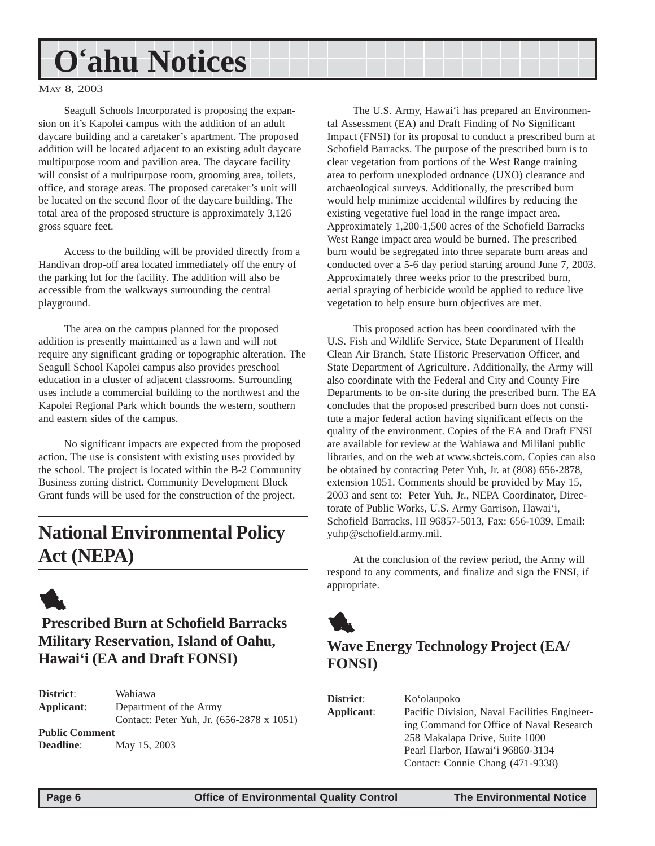## <span id="page-5-0"></span>**O'ahu Notices**

MAY 8, 2003

Seagull Schools Incorporated is proposing the expansion on it's Kapolei campus with the addition of an adult daycare building and a caretaker's apartment. The proposed addition will be located adjacent to an existing adult daycare multipurpose room and pavilion area. The daycare facility will consist of a multipurpose room, grooming area, toilets, office, and storage areas. The proposed caretaker's unit will be located on the second floor of the daycare building. The total area of the proposed structure is approximately 3,126 gross square feet.

Access to the building will be provided directly from a Handivan drop-off area located immediately off the entry of the parking lot for the facility. The addition will also be accessible from the walkways surrounding the central playground.

The area on the campus planned for the proposed addition is presently maintained as a lawn and will not require any significant grading or topographic alteration. The Seagull School Kapolei campus also provides preschool education in a cluster of adjacent classrooms. Surrounding uses include a commercial building to the northwest and the Kapolei Regional Park which bounds the western, southern and eastern sides of the campus.

No significant impacts are expected from the proposed action. The use is consistent with existing uses provided by the school. The project is located within the B-2 Community Business zoning district. Community Development Block Grant funds will be used for the construction of the project.

### **National Environmental Policy Act (NEPA)**



### **Prescribed Burn at Schofield Barracks Military Reservation, Island of Oahu, Hawai'i (EA and Draft FONSI)**

**District**: Wahiawa **Applicant**: Department of the Army Contact: Peter Yuh, Jr. (656-2878 x 1051) **Public Comment Deadline**: May 15, 2003

The U.S. Army, Hawai'i has prepared an Environmental Assessment (EA) and Draft Finding of No Significant Impact (FNSI) for its proposal to conduct a prescribed burn at Schofield Barracks. The purpose of the prescribed burn is to clear vegetation from portions of the West Range training area to perform unexploded ordnance (UXO) clearance and archaeological surveys. Additionally, the prescribed burn would help minimize accidental wildfires by reducing the existing vegetative fuel load in the range impact area. Approximately 1,200-1,500 acres of the Schofield Barracks West Range impact area would be burned. The prescribed burn would be segregated into three separate burn areas and conducted over a 5-6 day period starting around June 7, 2003. Approximately three weeks prior to the prescribed burn, aerial spraying of herbicide would be applied to reduce live vegetation to help ensure burn objectives are met.

This proposed action has been coordinated with the U.S. Fish and Wildlife Service, State Department of Health Clean Air Branch, State Historic Preservation Officer, and State Department of Agriculture. Additionally, the Army will also coordinate with the Federal and City and County Fire Departments to be on-site during the prescribed burn. The EA concludes that the proposed prescribed burn does not constitute a major federal action having significant effects on the quality of the environment. Copies of the EA and Draft FNSI are available for review at the Wahiawa and Mililani public libraries, and on the web at www.sbcteis.com. Copies can also be obtained by contacting Peter Yuh, Jr. at (808) 656-2878, extension 1051. Comments should be provided by May 15, 2003 and sent to: Peter Yuh, Jr., NEPA Coordinator, Directorate of Public Works, U.S. Army Garrison, Hawai'i, Schofield Barracks, HI 96857-5013, Fax: 656-1039, Email: yuhp@schofield.army.mil.

At the conclusion of the review period, the Army will respond to any comments, and finalize and sign the FNSI, if appropriate.



### **Wave Energy Technology Project (EA/ FONSI)**

| District:  | Ko'olaupoko                                  |
|------------|----------------------------------------------|
| Applicant: | Pacific Division, Naval Facilities Engineer- |
|            | ing Command for Office of Naval Research     |
|            | 258 Makalapa Drive, Suite 1000               |
|            | Pearl Harbor, Hawai'i 96860-3134             |
|            | Contact: Connie Chang (471-9338)             |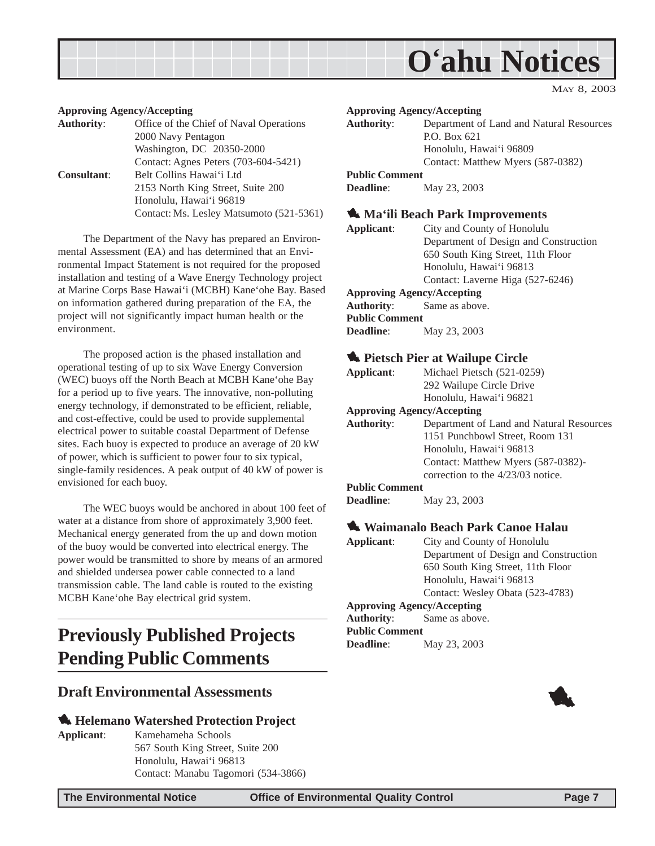<span id="page-6-0"></span>

#### MAY 8, 2003

#### **Approving Agency/Accepting**

| <b>Authority:</b>  | Office of the Chief of Naval Operations  |
|--------------------|------------------------------------------|
|                    | 2000 Navy Pentagon                       |
|                    | Washington, DC 20350-2000                |
|                    | Contact: Agnes Peters (703-604-5421)     |
| <b>Consultant:</b> | Belt Collins Hawai'i Ltd                 |
|                    | 2153 North King Street, Suite 200        |
|                    | Honolulu, Hawai'i 96819                  |
|                    | Contact: Ms. Lesley Matsumoto (521-5361) |

The Department of the Navy has prepared an Environmental Assessment (EA) and has determined that an Environmental Impact Statement is not required for the proposed installation and testing of a Wave Energy Technology project at Marine Corps Base Hawai'i (MCBH) Kane'ohe Bay. Based on information gathered during preparation of the EA, the project will not significantly impact human health or the environment.

The proposed action is the phased installation and operational testing of up to six Wave Energy Conversion (WEC) buoys off the North Beach at MCBH Kane'ohe Bay for a period up to five years. The innovative, non-polluting energy technology, if demonstrated to be efficient, reliable, and cost-effective, could be used to provide supplemental electrical power to suitable coastal Department of Defense sites. Each buoy is expected to produce an average of 20 kW of power, which is sufficient to power four to six typical, single-family residences. A peak output of 40 kW of power is envisioned for each buoy.

The WEC buoys would be anchored in about 100 feet of water at a distance from shore of approximately 3,900 feet. Mechanical energy generated from the up and down motion of the buoy would be converted into electrical energy. The power would be transmitted to shore by means of an armored and shielded undersea power cable connected to a land transmission cable. The land cable is routed to the existing MCBH Kane'ohe Bay electrical grid system.

### **Previously Published Projects Pending Public Comments**

#### **Draft Environmental Assessments**

#### 1 **Helemano Watershed Protection Project**

**Applicant**: Kamehameha Schools 567 South King Street, Suite 200 Honolulu, Hawai'i 96813 Contact: Manabu Tagomori (534-3866)

**Approving Agency/Accepting Authority**: Department of Land and Natural Resources P.O. Box 621 Honolulu, Hawai'i 96809 Contact: Matthew Myers (587-0382) **Public Comment Deadline**: May 23, 2003 **1. Ma'ili Beach Park Improvements Applicant**: City and County of Honolulu

Department of Design and Construction 650 South King Street, 11th Floor Honolulu, Hawai'i 96813 Contact: Laverne Higa (527-6246) **Approving Agency/Accepting Authority**: Same as above. **Public Comment**

#### **1. Pietsch Pier at Wailupe Circle**

**Deadline**: May 23, 2003

| Applicant:        | Michael Pietsch (521-0259)               |
|-------------------|------------------------------------------|
|                   | 292 Wailupe Circle Drive                 |
|                   | Honolulu, Hawai'i 96821                  |
|                   | <b>Approving Agency/Accepting</b>        |
| <b>Authority:</b> | Department of Land and Natural Resources |
|                   | 1151 Punchbowl Street, Room 131          |
|                   | Honolulu, Hawai'i 96813                  |
|                   | Contact: Matthew Myers (587-0382)-       |
|                   | correction to the $4/23/03$ notice.      |

#### **Public Comment**

#### 1 **Waimanalo Beach Park Canoe Halau**

**Applicant**: City and County of Honolulu Department of Design and Construction 650 South King Street, 11th Floor Honolulu, Hawai'i 96813 Contact: Wesley Obata (523-4783)

**Approving Agency/Accepting**

**Authority**: Same as above. **Public Comment Deadline**: May 23, 2003

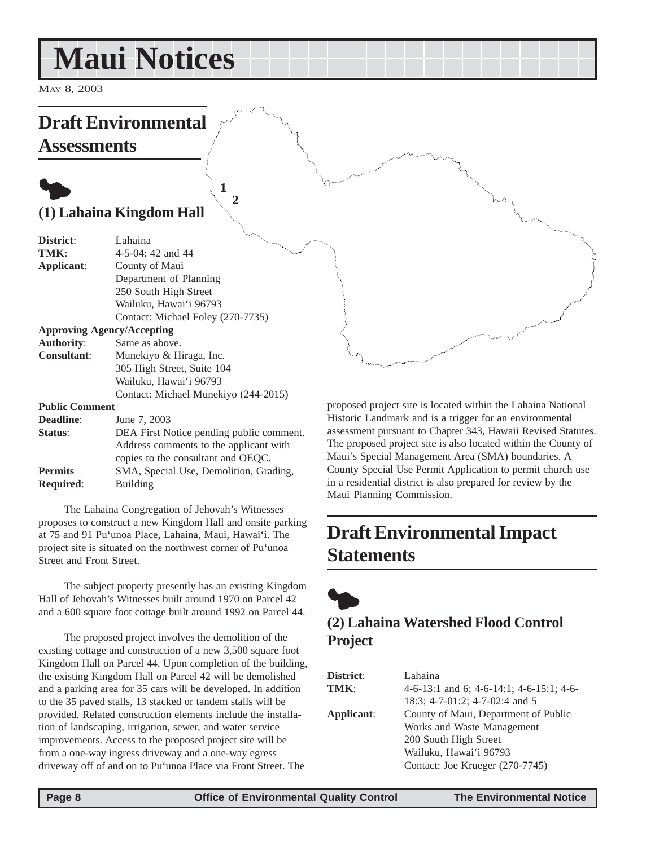## <span id="page-7-0"></span>**Maui Notices**

MAY 8, 2003

### **Draft Environmental Assessments**

### $\bullet$ **(1) Lahaina Kingdom Hall**

| District:             | Lahaina                                  |
|-----------------------|------------------------------------------|
| TMK:                  | $4-5-04$ : 42 and 44                     |
| Applicant:            | County of Maui                           |
|                       | Department of Planning                   |
|                       | 250 South High Street                    |
|                       | Wailuku, Hawai'i 96793                   |
|                       | Contact: Michael Foley (270-7735)        |
|                       | <b>Approving Agency/Accepting</b>        |
| <b>Authority:</b>     | Same as above.                           |
| <b>Consultant:</b>    | Munekiyo & Hiraga, Inc.                  |
|                       | 305 High Street, Suite 104               |
|                       | Wailuku, Hawai'i 96793                   |
|                       | Contact: Michael Munekiyo (244-2015)     |
| <b>Public Comment</b> |                                          |
| <b>Deadline:</b>      | June 7, 2003                             |
| Status:               | DEA First Notice pending public comment. |
|                       | Address comments to the applicant with   |
|                       | copies to the consultant and OEQC.       |
| <b>Permits</b>        | SMA, Special Use, Demolition, Grading,   |
| <b>Required:</b>      | Building                                 |

**1 2**

The Lahaina Congregation of Jehovah's Witnesses proposes to construct a new Kingdom Hall and onsite parking at 75 and 91 Pu'unoa Place, Lahaina, Maui, Hawai'i. The project site is situated on the northwest corner of Pu'unoa Street and Front Street.

The subject property presently has an existing Kingdom Hall of Jehovah's Witnesses built around 1970 on Parcel 42 and a 600 square foot cottage built around 1992 on Parcel 44.

The proposed project involves the demolition of the existing cottage and construction of a new 3,500 square foot Kingdom Hall on Parcel 44. Upon completion of the building, the existing Kingdom Hall on Parcel 42 will be demolished and a parking area for 35 cars will be developed. In addition to the 35 paved stalls, 13 stacked or tandem stalls will be provided. Related construction elements include the installation of landscaping, irrigation, sewer, and water service improvements. Access to the proposed project site will be from a one-way ingress driveway and a one-way egress driveway off of and on to Pu'unoa Place via Front Street. The

proposed project site is located within the Lahaina National Historic Landmark and is a trigger for an environmental assessment pursuant to Chapter 343, Hawaii Revised Statutes. The proposed project site is also located within the County of Maui's Special Management Area (SMA) boundaries. A County Special Use Permit Application to permit church use in a residential district is also prepared for review by the Maui Planning Commission.

### **Draft Environmental Impact Statements**



### **(2) Lahaina Watershed Flood Control Project**

| <b>District:</b> | Lahaina                                  |
|------------------|------------------------------------------|
| TMK:             | 4-6-13:1 and 6; 4-6-14:1; 4-6-15:1; 4-6- |
|                  | 18:3; 4-7-01:2; 4-7-02:4 and 5           |
| Applicant:       | County of Maui, Department of Public     |
|                  | Works and Waste Management               |
|                  | 200 South High Street                    |
|                  | Wailuku, Hawai'i 96793                   |
|                  | Contact: Joe Krueger (270-7745)          |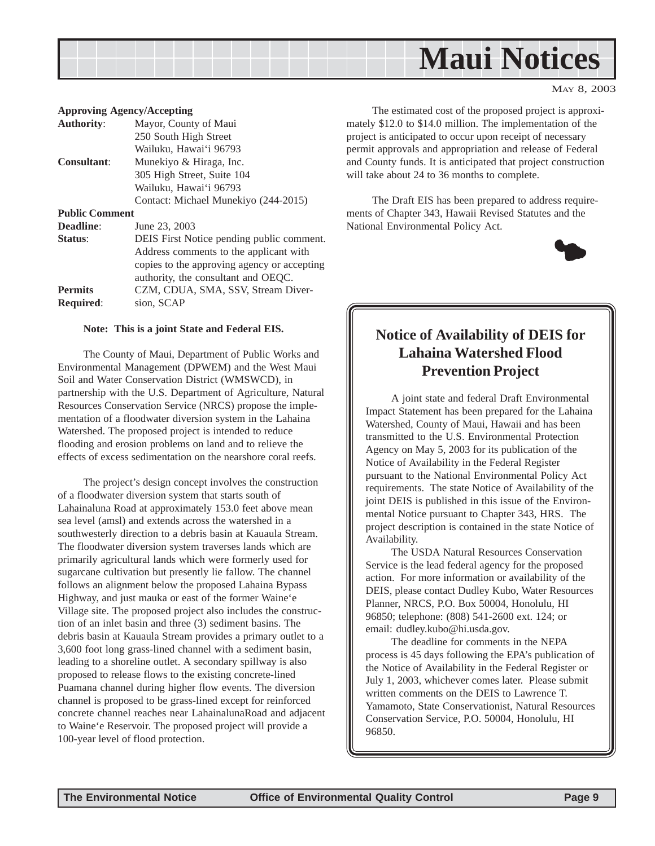

#### **Approving Agency/Accepting**

| <b>Authority:</b>     | Mayor, County of Maui                       |
|-----------------------|---------------------------------------------|
|                       | 250 South High Street                       |
|                       | Wailuku, Hawai'i 96793                      |
| <b>Consultant:</b>    | Munekiyo & Hiraga, Inc.                     |
|                       | 305 High Street, Suite 104                  |
|                       | Wailuku, Hawai'i 96793                      |
|                       | Contact: Michael Munekiyo (244-2015)        |
| <b>Public Comment</b> |                                             |
| <b>Deadline:</b>      | June 23, 2003                               |
| Status:               | DEIS First Notice pending public comment.   |
|                       | Address comments to the applicant with      |
|                       | copies to the approving agency or accepting |
|                       | authority, the consultant and OEQC.         |
| <b>Permits</b>        | CZM, CDUA, SMA, SSV, Stream Diver-          |
| <b>Required:</b>      | sion, SCAP                                  |
|                       |                                             |

#### **Note: This is a joint State and Federal EIS.**

The County of Maui, Department of Public Works and Environmental Management (DPWEM) and the West Maui Soil and Water Conservation District (WMSWCD), in partnership with the U.S. Department of Agriculture, Natural Resources Conservation Service (NRCS) propose the implementation of a floodwater diversion system in the Lahaina Watershed. The proposed project is intended to reduce flooding and erosion problems on land and to relieve the effects of excess sedimentation on the nearshore coral reefs.

The project's design concept involves the construction of a floodwater diversion system that starts south of Lahainaluna Road at approximately 153.0 feet above mean sea level (amsl) and extends across the watershed in a southwesterly direction to a debris basin at Kauaula Stream. The floodwater diversion system traverses lands which are primarily agricultural lands which were formerly used for sugarcane cultivation but presently lie fallow. The channel follows an alignment below the proposed Lahaina Bypass Highway, and just mauka or east of the former Waine'e Village site. The proposed project also includes the construction of an inlet basin and three (3) sediment basins. The debris basin at Kauaula Stream provides a primary outlet to a 3,600 foot long grass-lined channel with a sediment basin, leading to a shoreline outlet. A secondary spillway is also proposed to release flows to the existing concrete-lined Puamana channel during higher flow events. The diversion channel is proposed to be grass-lined except for reinforced concrete channel reaches near LahainalunaRoad and adjacent to Waine'e Reservoir. The proposed project will provide a 100-year level of flood protection.

The estimated cost of the proposed project is approximately \$12.0 to \$14.0 million. The implementation of the project is anticipated to occur upon receipt of necessary permit approvals and appropriation and release of Federal and County funds. It is anticipated that project construction will take about 24 to 36 months to complete.

The Draft EIS has been prepared to address requirements of Chapter 343, Hawaii Revised Statutes and the National Environmental Policy Act.



MAY 8, 2003

#### **Notice of Availability of DEIS for Lahaina Watershed Flood Prevention Project**

A joint state and federal Draft Environmental Impact Statement has been prepared for the Lahaina Watershed, County of Maui, Hawaii and has been transmitted to the U.S. Environmental Protection Agency on May 5, 2003 for its publication of the Notice of Availability in the Federal Register pursuant to the National Environmental Policy Act requirements. The state Notice of Availability of the joint DEIS is published in this issue of the Environmental Notice pursuant to Chapter 343, HRS. The project description is contained in the state Notice of Availability.

The USDA Natural Resources Conservation Service is the lead federal agency for the proposed action. For more information or availability of the DEIS, please contact Dudley Kubo, Water Resources Planner, NRCS, P.O. Box 50004, Honolulu, HI 96850; telephone: (808) 541-2600 ext. 124; or email: dudley.kubo@hi.usda.gov.

The deadline for comments in the NEPA process is 45 days following the EPA's publication of the Notice of Availability in the Federal Register or July 1, 2003, whichever comes later. Please submit written comments on the DEIS to Lawrence T. Yamamoto, State Conservationist, Natural Resources Conservation Service, P.O. 50004, Honolulu, HI 96850.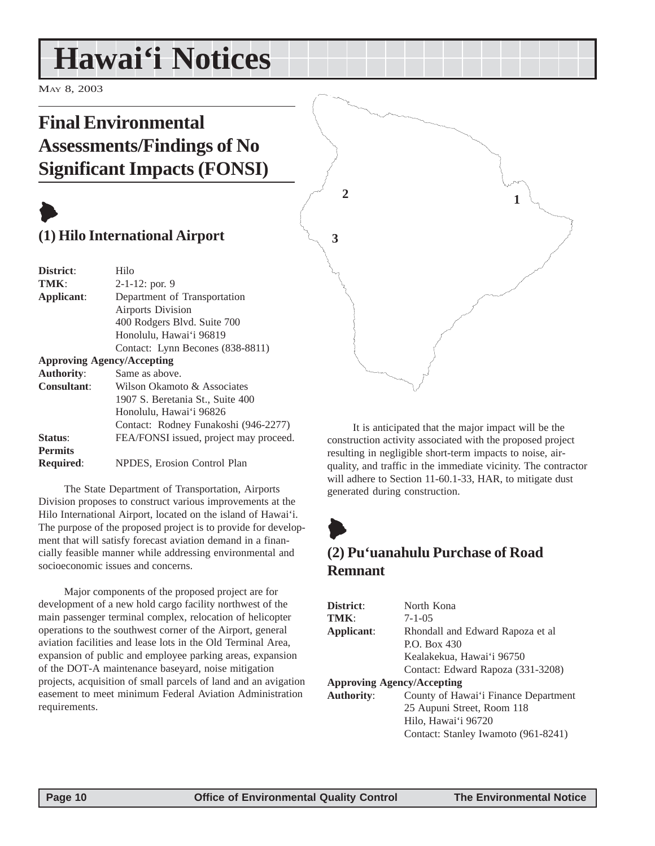## <span id="page-9-0"></span>**Hawai'i Notices**

MAY 8, 2003

### **Final Environmental Assessments/Findings of No Significant Impacts (FONSI)**

## $\blacktriangleright$

### **(1) Hilo International Airport**

| District:          | Hilo                                   |
|--------------------|----------------------------------------|
| TMK:               | $2-1-12$ : por. 9                      |
| Applicant:         | Department of Transportation           |
|                    | <b>Airports Division</b>               |
|                    | 400 Rodgers Blvd. Suite 700            |
|                    | Honolulu, Hawai'i 96819                |
|                    | Contact: Lynn Becones (838-8811)       |
|                    | <b>Approving Agency/Accepting</b>      |
| <b>Authority:</b>  | Same as above.                         |
| <b>Consultant:</b> | Wilson Okamoto & Associates            |
|                    | 1907 S. Beretania St., Suite 400       |
|                    | Honolulu, Hawai'i 96826                |
|                    | Contact: Rodney Funakoshi (946-2277)   |
| Status:            | FEA/FONSI issued, project may proceed. |
| <b>Permits</b>     |                                        |
| <b>Required:</b>   | NPDES, Erosion Control Plan            |

The State Department of Transportation, Airports Division proposes to construct various improvements at the Hilo International Airport, located on the island of Hawai'i. The purpose of the proposed project is to provide for development that will satisfy forecast aviation demand in a financially feasible manner while addressing environmental and socioeconomic issues and concerns.

Major components of the proposed project are for development of a new hold cargo facility northwest of the main passenger terminal complex, relocation of helicopter operations to the southwest corner of the Airport, general aviation facilities and lease lots in the Old Terminal Area, expansion of public and employee parking areas, expansion of the DOT-A maintenance baseyard, noise mitigation projects, acquisition of small parcels of land and an avigation easement to meet minimum Federal Aviation Administration requirements.

It is anticipated that the major impact will be the construction activity associated with the proposed project resulting in negligible short-term impacts to noise, airquality, and traffic in the immediate vicinity. The contractor will adhere to Section 11-60.1-33, HAR, to mitigate dust generated during construction.

**1**



**2**

**3**

### **(2) Pu'uanahulu Purchase of Road Remnant**

| District:                         | North Kona                           |  |  |  |
|-----------------------------------|--------------------------------------|--|--|--|
| TMK:                              | $7 - 1 - 0.5$                        |  |  |  |
| Applicant:                        | Rhondall and Edward Rapoza et al     |  |  |  |
|                                   | P.O. Box $430$                       |  |  |  |
|                                   | Kealakekua, Hawai'i 96750            |  |  |  |
|                                   | Contact: Edward Rapoza (331-3208)    |  |  |  |
| <b>Approving Agency/Accepting</b> |                                      |  |  |  |
| <b>Authority:</b>                 | County of Hawai'i Finance Department |  |  |  |
|                                   | 25 Aupuni Street, Room 118           |  |  |  |
|                                   | Hilo, Hawai'i 96720                  |  |  |  |
|                                   | Contact: Stanley Iwamoto (961-8241)  |  |  |  |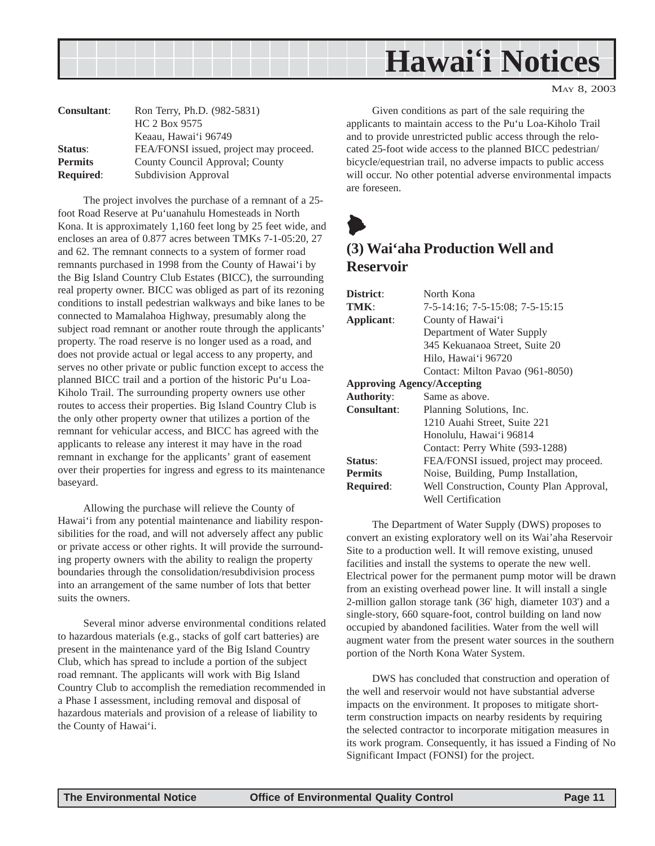<span id="page-10-0"></span>

MAY 8, 2003

| <b>Consultant:</b> | Ron Terry, Ph.D. (982-5831)            |
|--------------------|----------------------------------------|
|                    | HC 2 Box 9575                          |
|                    | Keaau, Hawai'i 96749                   |
| Status:            | FEA/FONSI issued, project may proceed. |
| <b>Permits</b>     | County Council Approval; County        |
| <b>Required:</b>   | Subdivision Approval                   |

The project involves the purchase of a remnant of a 25 foot Road Reserve at Pu'uanahulu Homesteads in North Kona. It is approximately 1,160 feet long by 25 feet wide, and encloses an area of 0.877 acres between TMKs 7-1-05:20, 27 and 62. The remnant connects to a system of former road remnants purchased in 1998 from the County of Hawai'i by the Big Island Country Club Estates (BICC), the surrounding real property owner. BICC was obliged as part of its rezoning conditions to install pedestrian walkways and bike lanes to be connected to Mamalahoa Highway, presumably along the subject road remnant or another route through the applicants' property. The road reserve is no longer used as a road, and does not provide actual or legal access to any property, and serves no other private or public function except to access the planned BICC trail and a portion of the historic Pu'u Loa-Kiholo Trail. The surrounding property owners use other routes to access their properties. Big Island Country Club is the only other property owner that utilizes a portion of the remnant for vehicular access, and BICC has agreed with the applicants to release any interest it may have in the road remnant in exchange for the applicants' grant of easement over their properties for ingress and egress to its maintenance baseyard.

Allowing the purchase will relieve the County of Hawai'i from any potential maintenance and liability responsibilities for the road, and will not adversely affect any public or private access or other rights. It will provide the surrounding property owners with the ability to realign the property boundaries through the consolidation/resubdivision process into an arrangement of the same number of lots that better suits the owners.

Several minor adverse environmental conditions related to hazardous materials (e.g., stacks of golf cart batteries) are present in the maintenance yard of the Big Island Country Club, which has spread to include a portion of the subject road remnant. The applicants will work with Big Island Country Club to accomplish the remediation recommended in a Phase I assessment, including removal and disposal of hazardous materials and provision of a release of liability to the County of Hawai'i.

Given conditions as part of the sale requiring the applicants to maintain access to the Pu'u Loa-Kiholo Trail and to provide unrestricted public access through the relocated 25-foot wide access to the planned BICC pedestrian/ bicycle/equestrian trail, no adverse impacts to public access will occur. No other potential adverse environmental impacts are foreseen.



### **(3) Wai'aha Production Well and Reservoir**

| District:                         | North Kona                               |  |  |  |
|-----------------------------------|------------------------------------------|--|--|--|
| TMK:                              | 7-5-14:16; 7-5-15:08; 7-5-15:15          |  |  |  |
| Applicant:                        | County of Hawai'i                        |  |  |  |
|                                   | Department of Water Supply               |  |  |  |
|                                   | 345 Kekuanaoa Street, Suite 20           |  |  |  |
|                                   | Hilo, Hawai'i 96720                      |  |  |  |
|                                   | Contact: Milton Pavao (961-8050)         |  |  |  |
| <b>Approving Agency/Accepting</b> |                                          |  |  |  |
| <b>Authority:</b>                 | Same as above.                           |  |  |  |
| <b>Consultant:</b>                | Planning Solutions, Inc.                 |  |  |  |
|                                   | 1210 Auahi Street, Suite 221             |  |  |  |
|                                   | Honolulu, Hawai'i 96814                  |  |  |  |
|                                   | Contact: Perry White (593-1288)          |  |  |  |
| Status:                           | FEA/FONSI issued, project may proceed.   |  |  |  |
| <b>Permits</b>                    | Noise, Building, Pump Installation,      |  |  |  |
| <b>Required:</b>                  | Well Construction, County Plan Approval, |  |  |  |
|                                   | Well Certification                       |  |  |  |

The Department of Water Supply (DWS) proposes to convert an existing exploratory well on its Wai'aha Reservoir Site to a production well. It will remove existing, unused facilities and install the systems to operate the new well. Electrical power for the permanent pump motor will be drawn from an existing overhead power line. It will install a single 2-million gallon storage tank (36' high, diameter 103') and a single-story, 660 square-foot, control building on land now occupied by abandoned facilities. Water from the well will augment water from the present water sources in the southern portion of the North Kona Water System.

DWS has concluded that construction and operation of the well and reservoir would not have substantial adverse impacts on the environment. It proposes to mitigate shortterm construction impacts on nearby residents by requiring the selected contractor to incorporate mitigation measures in its work program. Consequently, it has issued a Finding of No Significant Impact (FONSI) for the project.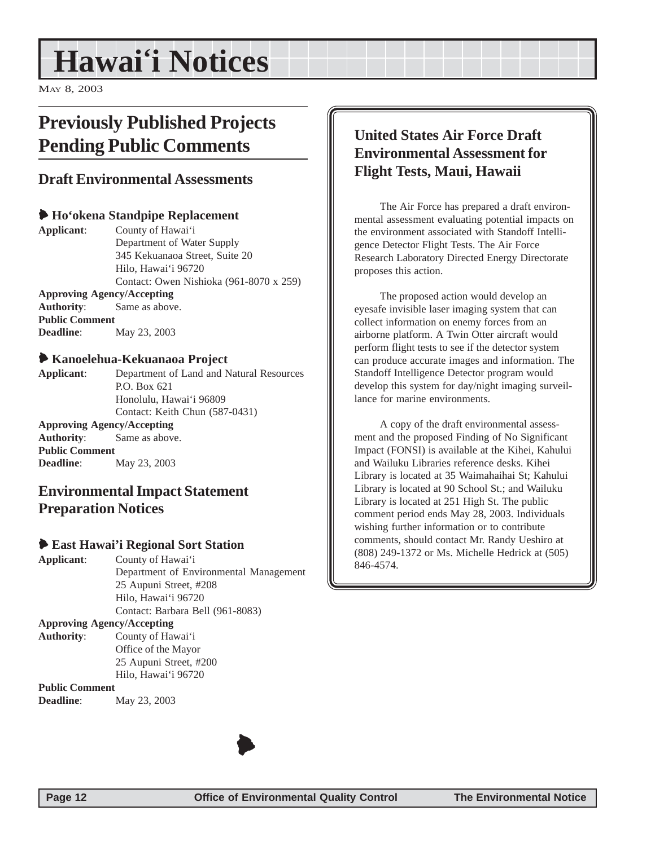## <span id="page-11-0"></span>**Hawai'i Notices**

MAY 8, 2003

### **Previously Published Projects Pending Public Comments**

#### **Draft Environmental Assessments**

#### 6 **Ho'okena Standpipe Replacement**

**Applicant**: County of Hawai'i Department of Water Supply 345 Kekuanaoa Street, Suite 20 Hilo, Hawai'i 96720 Contact: Owen Nishioka (961-8070 x 259) **Approving Agency/Accepting Authority**: Same as above. **Public Comment Deadline**: May 23, 2003

#### 6 **Kanoelehua-Kekuanaoa Project**

**Applicant**: Department of Land and Natural Resources P.O. Box 621 Honolulu, Hawai'i 96809 Contact: Keith Chun (587-0431) **Approving Agency/Accepting**

**Authority**: Same as above. **Public Comment Deadline**: May 23, 2003

#### **Environmental Impact Statement Preparation Notices**

#### 6 **East Hawai'i Regional Sort Station**

**Applicant**: County of Hawai'i Department of Environmental Management 25 Aupuni Street, #208 Hilo, Hawai'i 96720 Contact: Barbara Bell (961-8083) **Approving Agency/Accepting Authority**: County of Hawai'i Office of the Mayor 25 Aupuni Street, #200 Hilo, Hawai'i 96720

**Public Comment Deadline**: May 23, 2003

### **United States Air Force Draft Environmental Assessment for Flight Tests, Maui, Hawaii**

The Air Force has prepared a draft environmental assessment evaluating potential impacts on the environment associated with Standoff Intelligence Detector Flight Tests. The Air Force Research Laboratory Directed Energy Directorate proposes this action.

The proposed action would develop an eyesafe invisible laser imaging system that can collect information on enemy forces from an airborne platform. A Twin Otter aircraft would perform flight tests to see if the detector system can produce accurate images and information. The Standoff Intelligence Detector program would develop this system for day/night imaging surveillance for marine environments.

A copy of the draft environmental assessment and the proposed Finding of No Significant Impact (FONSI) is available at the Kihei, Kahului and Wailuku Libraries reference desks. Kihei Library is located at 35 Waimahaihai St; Kahului Library is located at 90 School St.; and Wailuku Library is located at 251 High St. The public comment period ends May 28, 2003. Individuals wishing further information or to contribute comments, should contact Mr. Randy Ueshiro at (808) 249-1372 or Ms. Michelle Hedrick at (505) 846-4574.

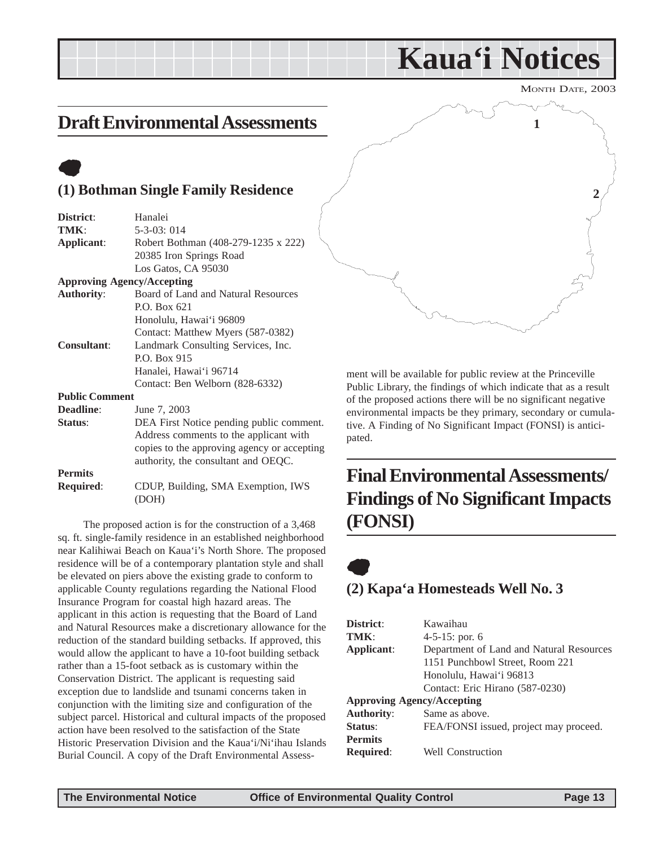## **Kaua'i Notices**

MONTH DATE, 2003

### <span id="page-12-0"></span>**Draft Environmental Assessments**

### $\bullet$

#### **(1) Bothman Single Family Residence**

| District:             | Hanalei                                     |
|-----------------------|---------------------------------------------|
| TMK:                  | $5-3-03:014$                                |
| Applicant:            | Robert Bothman (408-279-1235 x 222)         |
|                       | 20385 Iron Springs Road                     |
|                       | Los Gatos, CA 95030                         |
|                       | <b>Approving Agency/Accepting</b>           |
| <b>Authority:</b>     | Board of Land and Natural Resources         |
|                       | P.O. Box 621                                |
|                       | Honolulu, Hawai'i 96809                     |
|                       | Contact: Matthew Myers (587-0382)           |
| Consultant:           | Landmark Consulting Services, Inc.          |
|                       | P.O. Box 915                                |
|                       | Hanalei, Hawai'i 96714                      |
|                       | Contact: Ben Welborn (828-6332)             |
| <b>Public Comment</b> |                                             |
| <b>Deadline:</b>      | June 7, 2003                                |
| Status:               | DEA First Notice pending public comment.    |
|                       | Address comments to the applicant with      |
|                       | copies to the approving agency or accepting |
|                       | authority, the consultant and OEQC.         |
| <b>Permits</b>        |                                             |
| <b>Required:</b>      | CDUP, Building, SMA Exemption, IWS          |
|                       | (DOH)                                       |

The proposed action is for the construction of a 3,468 sq. ft. single-family residence in an established neighborhood near Kalihiwai Beach on Kaua'i's North Shore. The proposed residence will be of a contemporary plantation style and shall be elevated on piers above the existing grade to conform to applicable County regulations regarding the National Flood Insurance Program for coastal high hazard areas. The applicant in this action is requesting that the Board of Land and Natural Resources make a discretionary allowance for the reduction of the standard building setbacks. If approved, this would allow the applicant to have a 10-foot building setback rather than a 15-foot setback as is customary within the Conservation District. The applicant is requesting said exception due to landslide and tsunami concerns taken in conjunction with the limiting size and configuration of the subject parcel. Historical and cultural impacts of the proposed action have been resolved to the satisfaction of the State Historic Preservation Division and the Kaua'i/Ni'ihau Islands Burial Council. A copy of the Draft Environmental Assess-



ment will be available for public review at the Princeville Public Library, the findings of which indicate that as a result of the proposed actions there will be no significant negative environmental impacts be they primary, secondary or cumulative. A Finding of No Significant Impact (FONSI) is anticipated.

### **Final Environmental Assessments/ Findings of No Significant Impacts (FONSI)**

### $\bullet$ **(2) Kapa'a Homesteads Well No. 3**

| District:                         | Kawaihau                                 |
|-----------------------------------|------------------------------------------|
| TMK:                              | $4-5-15$ : por. 6                        |
| Applicant:                        | Department of Land and Natural Resources |
|                                   | 1151 Punchbowl Street, Room 221          |
|                                   | Honolulu, Hawai'i 96813                  |
|                                   | Contact: Eric Hirano (587-0230)          |
| <b>Approving Agency/Accepting</b> |                                          |
| <b>Authority:</b>                 | Same as above.                           |
| Status:                           | FEA/FONSI issued, project may proceed.   |
| <b>Permits</b>                    |                                          |
| <b>Required:</b>                  | <b>Well Construction</b>                 |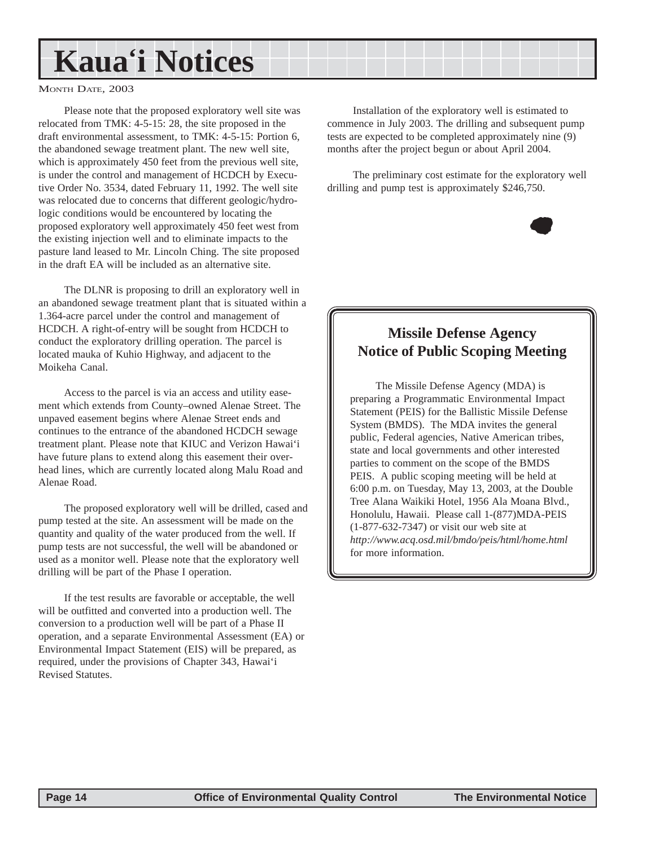## **Kaua'i Notices**

#### MONTH DATE, 2003

Please note that the proposed exploratory well site was relocated from TMK: 4-5-15: 28, the site proposed in the draft environmental assessment, to TMK: 4-5-15: Portion 6, the abandoned sewage treatment plant. The new well site, which is approximately 450 feet from the previous well site, is under the control and management of HCDCH by Executive Order No. 3534, dated February 11, 1992. The well site was relocated due to concerns that different geologic/hydrologic conditions would be encountered by locating the proposed exploratory well approximately 450 feet west from the existing injection well and to eliminate impacts to the pasture land leased to Mr. Lincoln Ching. The site proposed in the draft EA will be included as an alternative site.

The DLNR is proposing to drill an exploratory well in an abandoned sewage treatment plant that is situated within a 1.364-acre parcel under the control and management of HCDCH. A right-of-entry will be sought from HCDCH to conduct the exploratory drilling operation. The parcel is located mauka of Kuhio Highway, and adjacent to the Moikeha Canal.

Access to the parcel is via an access and utility easement which extends from County–owned Alenae Street. The unpaved easement begins where Alenae Street ends and continues to the entrance of the abandoned HCDCH sewage treatment plant. Please note that KIUC and Verizon Hawai'i have future plans to extend along this easement their overhead lines, which are currently located along Malu Road and Alenae Road.

The proposed exploratory well will be drilled, cased and pump tested at the site. An assessment will be made on the quantity and quality of the water produced from the well. If pump tests are not successful, the well will be abandoned or used as a monitor well. Please note that the exploratory well drilling will be part of the Phase I operation.

If the test results are favorable or acceptable, the well will be outfitted and converted into a production well. The conversion to a production well will be part of a Phase II operation, and a separate Environmental Assessment (EA) or Environmental Impact Statement (EIS) will be prepared, as required, under the provisions of Chapter 343, Hawai'i Revised Statutes.

Installation of the exploratory well is estimated to commence in July 2003. The drilling and subsequent pump tests are expected to be completed approximately nine (9) months after the project begun or about April 2004.

The preliminary cost estimate for the exploratory well drilling and pump test is approximately \$246,750.



### **Missile Defense Agency Notice of Public Scoping Meeting**

The Missile Defense Agency (MDA) is preparing a Programmatic Environmental Impact Statement (PEIS) for the Ballistic Missile Defense System (BMDS). The MDA invites the general public, Federal agencies, Native American tribes, state and local governments and other interested parties to comment on the scope of the BMDS PEIS. A public scoping meeting will be held at 6:00 p.m. on Tuesday, May 13, 2003, at the Double Tree Alana Waikiki Hotel, 1956 Ala Moana Blvd., Honolulu, Hawaii. Please call 1-(877)MDA-PEIS (1-877-632-7347) or visit our web site at *http://www.acq.osd.mil/bmdo/peis/html/home.html* for more information.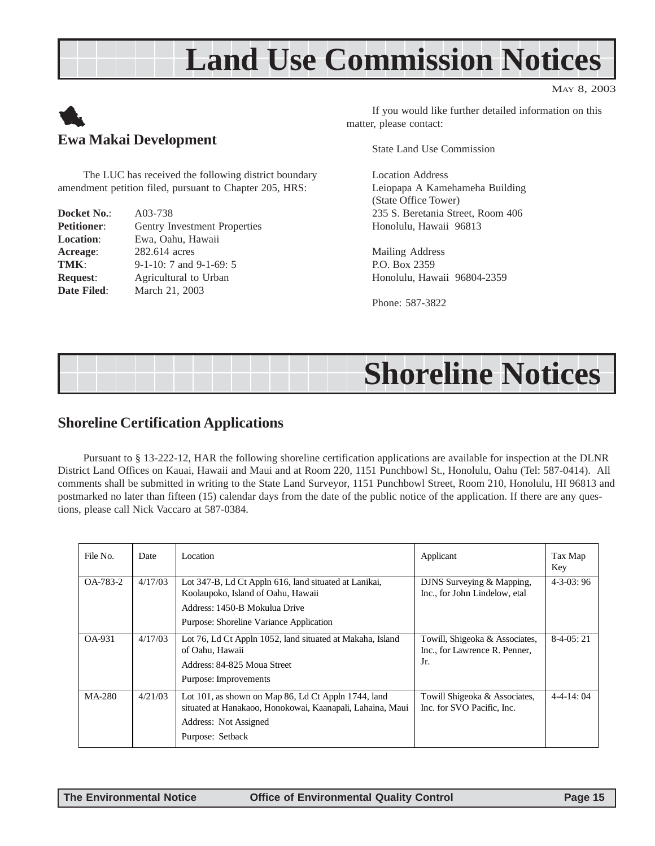## **Land Use Commission Notices**





The LUC has received the following district boundary amendment petition filed, pursuant to Chapter 205, HRS:

| Docket No.:        | A03-738                       |
|--------------------|-------------------------------|
| <b>Petitioner:</b> | Gentry Investment Properties  |
| <b>Location:</b>   | Ewa, Oahu, Hawaii             |
| Acreage:           | 282.614 acres                 |
| TMK:               | $9-1-10$ : 7 and $9-1-69$ : 5 |
| <b>Request:</b>    | Agricultural to Urban         |
| Date Filed:        | March 21, 2003                |

If you would like further detailed information on this matter, please contact:

State Land Use Commission

Location Address Leiopapa A Kamehameha Building (State Office Tower) 235 S. Beretania Street, Room 406 Honolulu, Hawaii 96813

Mailing Address P.O. Box 2359 Honolulu, Hawaii 96804-2359

Phone: 587-3822

## **Shoreline Notices**

#### **Shoreline Certification Applications**

Pursuant to § 13-222-12, HAR the following shoreline certification applications are available for inspection at the DLNR District Land Offices on Kauai, Hawaii and Maui and at Room 220, 1151 Punchbowl St., Honolulu, Oahu (Tel: 587-0414). All comments shall be submitted in writing to the State Land Surveyor, 1151 Punchbowl Street, Room 210, Honolulu, HI 96813 and postmarked no later than fifteen (15) calendar days from the date of the public notice of the application. If there are any questions, please call Nick Vaccaro at 587-0384.

| File No. | Date    | Location                                                                                                                                                                | Applicant                                                              | Tax Map<br>Key |
|----------|---------|-------------------------------------------------------------------------------------------------------------------------------------------------------------------------|------------------------------------------------------------------------|----------------|
| OA-783-2 | 4/17/03 | Lot 347-B, Ld Ct Appln 616, land situated at Lanikai,<br>Koolaupoko, Island of Oahu, Hawaii<br>Address: 1450-B Mokulua Drive<br>Purpose: Shoreline Variance Application | DJNS Surveying & Mapping,<br>Inc., for John Lindelow, etal             | $4-3-03:96$    |
| OA-931   | 4/17/03 | Lot 76, Ld Ct Appln 1052, land situated at Makaha, Island<br>of Oahu, Hawaii<br>Address: 84-825 Moua Street<br>Purpose: Improvements                                    | Towill, Shigeoka & Associates,<br>Inc., for Lawrence R. Penner,<br>Jr. | $8-4-05:21$    |
| MA-280   | 4/21/03 | Lot 101, as shown on Map 86, Ld Ct Appln 1744, land<br>situated at Hanakaoo, Honokowai, Kaanapali, Lahaina, Maui<br>Address: Not Assigned<br>Purpose: Setback           | Towill Shigeoka & Associates,<br>Inc. for SVO Pacific. Inc.            | $4-4-14:04$    |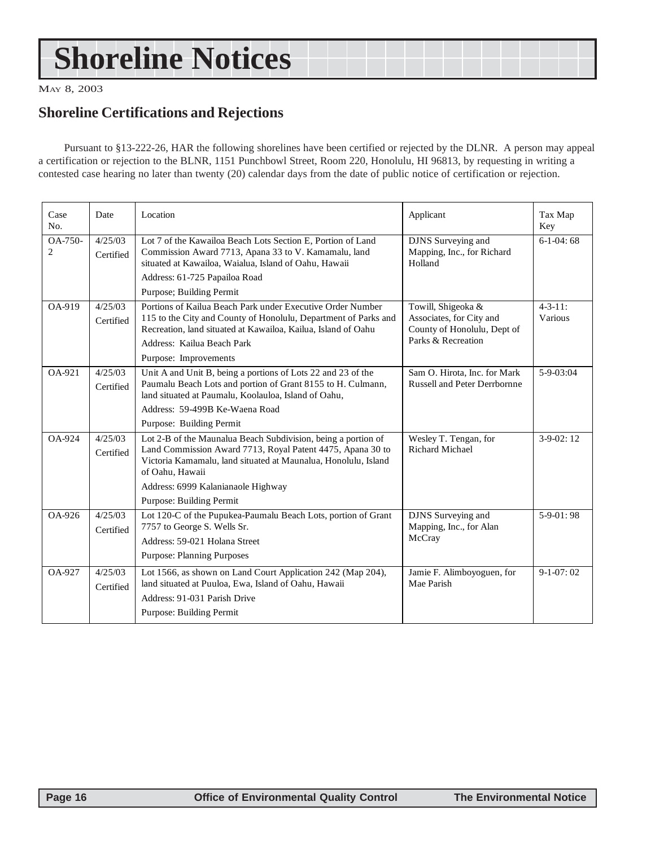## <span id="page-15-0"></span>**Shoreline Notices**

MAY 8, 2003

### **Shoreline Certifications and Rejections**

Pursuant to §13-222-26, HAR the following shorelines have been certified or rejected by the DLNR. A person may appeal a certification or rejection to the BLNR, 1151 Punchbowl Street, Room 220, Honolulu, HI 96813, by requesting in writing a contested case hearing no later than twenty (20) calendar days from the date of public notice of certification or rejection.

| Case<br>No.                 | Date                 | Location                                                                                                                                                                                                                     | Applicant                                                                                           | Tax Map<br>Key            |
|-----------------------------|----------------------|------------------------------------------------------------------------------------------------------------------------------------------------------------------------------------------------------------------------------|-----------------------------------------------------------------------------------------------------|---------------------------|
| $OA-750-$<br>$\overline{c}$ | 4/25/03<br>Certified | Lot 7 of the Kawailoa Beach Lots Section E. Portion of Land<br>Commission Award 7713, Apana 33 to V. Kamamalu, land<br>situated at Kawailoa, Waialua, Island of Oahu, Hawaii                                                 | DJNS Surveying and<br>Mapping, Inc., for Richard<br>Holland                                         | $6-1-04:68$               |
|                             |                      | Address: 61-725 Papailoa Road                                                                                                                                                                                                |                                                                                                     |                           |
|                             |                      | Purpose; Building Permit                                                                                                                                                                                                     |                                                                                                     |                           |
| OA-919                      | 4/25/03<br>Certified | Portions of Kailua Beach Park under Executive Order Number<br>115 to the City and County of Honolulu, Department of Parks and<br>Recreation, land situated at Kawailoa, Kailua, Island of Oahu<br>Address: Kailua Beach Park | Towill, Shigeoka &<br>Associates, for City and<br>County of Honolulu, Dept of<br>Parks & Recreation | $4 - 3 - 11$ :<br>Various |
|                             |                      | Purpose: Improvements                                                                                                                                                                                                        |                                                                                                     |                           |
| OA-921                      | 4/25/03<br>Certified | Unit A and Unit B, being a portions of Lots 22 and 23 of the<br>Paumalu Beach Lots and portion of Grant 8155 to H. Culmann,<br>land situated at Paumalu, Koolauloa, Island of Oahu,                                          | Sam O. Hirota, Inc. for Mark<br><b>Russell and Peter Derrbornne</b>                                 | $5-9-03:04$               |
|                             |                      | Address: 59-499B Ke-Waena Road                                                                                                                                                                                               |                                                                                                     |                           |
|                             |                      | Purpose: Building Permit                                                                                                                                                                                                     |                                                                                                     |                           |
| OA-924                      | 4/25/03<br>Certified | Lot 2-B of the Maunalua Beach Subdivision, being a portion of<br>Land Commission Award 7713, Royal Patent 4475, Apana 30 to<br>Victoria Kamamalu, land situated at Maunalua, Honolulu, Island<br>of Oahu, Hawaii             | Wesley T. Tengan, for<br><b>Richard Michael</b>                                                     | $3-9-02:12$               |
|                             |                      | Address: 6999 Kalanianaole Highway                                                                                                                                                                                           |                                                                                                     |                           |
|                             |                      | Purpose: Building Permit                                                                                                                                                                                                     |                                                                                                     |                           |
| OA-926                      | 4/25/03<br>Certified | Lot 120-C of the Pupukea-Paumalu Beach Lots, portion of Grant<br>7757 to George S. Wells Sr.<br>Address: 59-021 Holana Street                                                                                                | <b>DJNS</b> Surveying and<br>Mapping, Inc., for Alan<br>McCray                                      | $5-9-01:98$               |
|                             |                      | <b>Purpose: Planning Purposes</b>                                                                                                                                                                                            |                                                                                                     |                           |
| OA-927                      | 4/25/03<br>Certified | Lot 1566, as shown on Land Court Application 242 (Map 204),<br>land situated at Puuloa, Ewa, Island of Oahu, Hawaii<br>Address: 91-031 Parish Drive<br>Purpose: Building Permit                                              | Jamie F. Alimboyoguen, for<br>Mae Parish                                                            | $9-1-07:02$               |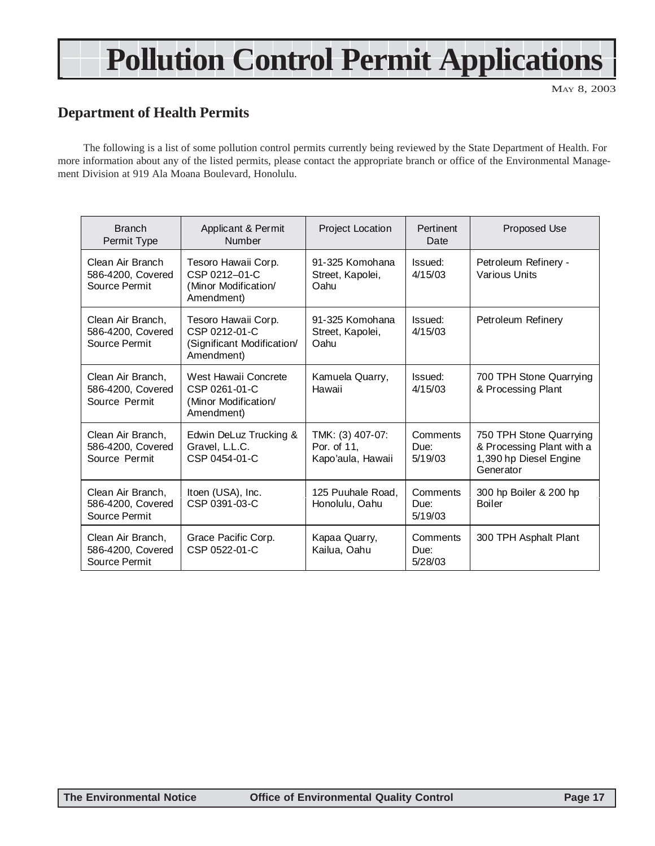## **Pollution Control Permit Applications**

MAY 8, 2003

### **Department of Health Permits**

The following is a list of some pollution control permits currently being reviewed by the State Department of Health. For more information about any of the listed permits, please contact the appropriate branch or office of the Environmental Management Division at 919 Ala Moana Boulevard, Honolulu.

| <b>Branch</b><br>Permit Type                            | Applicant & Permit<br>Number                                                     | <b>Project Location</b>                              | Pertinent<br>Date           | Proposed Use                                                                                |
|---------------------------------------------------------|----------------------------------------------------------------------------------|------------------------------------------------------|-----------------------------|---------------------------------------------------------------------------------------------|
| Clean Air Branch<br>586-4200, Covered<br>Source Permit  | Tesoro Hawaii Corp.<br>CSP 0212-01-C<br>(Minor Modification/<br>Amendment)       | 91-325 Komohana<br>Street, Kapolei,<br>Oahu          | Issued:<br>4/15/03          | Petroleum Refinery -<br>Various Units                                                       |
| Clean Air Branch,<br>586-4200, Covered<br>Source Permit | Tesoro Hawaii Corp.<br>CSP 0212-01-C<br>(Significant Modification/<br>Amendment) | 91-325 Komohana<br>Street, Kapolei,<br>Oahu          | Issued:<br>4/15/03          | Petroleum Refinery                                                                          |
| Clean Air Branch,<br>586-4200, Covered<br>Source Permit | West Hawaii Concrete<br>CSP 0261-01-C<br>(Minor Modification/<br>Amendment)      | Kamuela Quarry,<br>Hawaii                            | Issued:<br>4/15/03          | 700 TPH Stone Quarrying<br>& Processing Plant                                               |
| Clean Air Branch,<br>586-4200, Covered<br>Source Permit | Edwin DeLuz Trucking &<br>Gravel, L.L.C.<br>CSP 0454-01-C                        | TMK: (3) 407-07:<br>Por. of 11,<br>Kapo'aula, Hawaii | Comments<br>Due:<br>5/19/03 | 750 TPH Stone Quarrying<br>& Processing Plant with a<br>1,390 hp Diesel Engine<br>Generator |
| Clean Air Branch,<br>586-4200, Covered<br>Source Permit | Itoen (USA), Inc.<br>CSP 0391-03-C                                               | 125 Puuhale Road,<br>Honolulu, Oahu                  | Comments<br>Due:<br>5/19/03 | 300 hp Boiler & 200 hp<br><b>Boiler</b>                                                     |
| Clean Air Branch,<br>586-4200, Covered<br>Source Permit | Grace Pacific Corp.<br>CSP 0522-01-C                                             | Kapaa Quarry,<br>Kailua, Oahu                        | Comments<br>Due:<br>5/28/03 | 300 TPH Asphalt Plant                                                                       |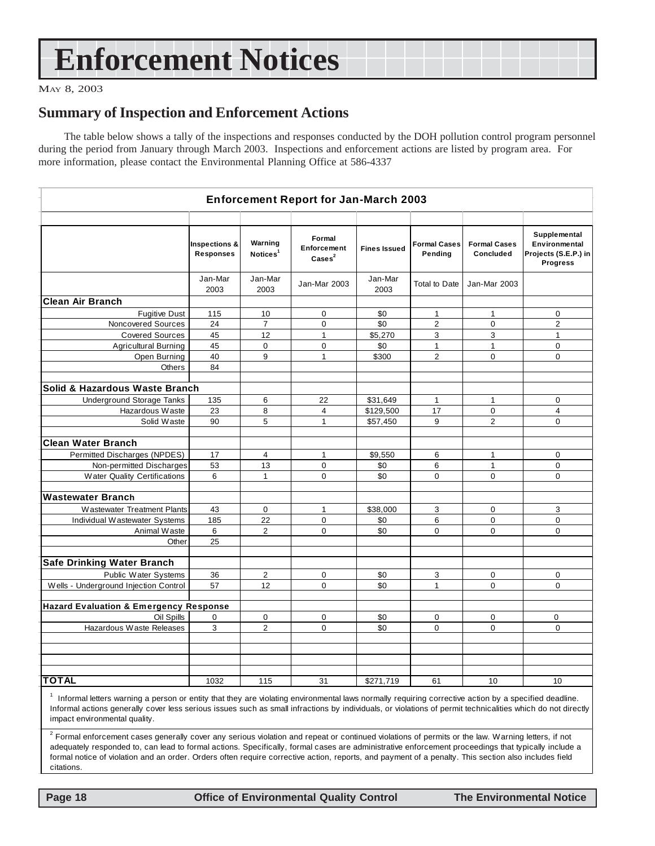## **Enforcement Notices**

#### MAY 8, 2003

#### **Summary of Inspection and Enforcement Actions**

The table below shows a tally of the inspections and responses conducted by the DOH pollution control program personnel during the period from January through March 2003. Inspections and enforcement actions are listed by program area. For more information, please contact the Environmental Planning Office at 586-4337

| <b>Enforcement Report for Jan-March 2003</b>      |                                   |                                 |                                                     |                     |                                |                                  |                                                                          |
|---------------------------------------------------|-----------------------------------|---------------------------------|-----------------------------------------------------|---------------------|--------------------------------|----------------------------------|--------------------------------------------------------------------------|
|                                                   |                                   |                                 |                                                     |                     |                                |                                  |                                                                          |
|                                                   | Inspections &<br><b>Responses</b> | Warning<br>Notices <sup>1</sup> | Formal<br>Enforcement<br>$\text{Case}$ <sup>2</sup> | <b>Fines Issued</b> | <b>Formal Cases</b><br>Pending | <b>Formal Cases</b><br>Concluded | Supplemental<br>Environmental<br>Projects (S.E.P.) in<br><b>Progress</b> |
|                                                   | Jan-Mar<br>2003                   | Jan-Mar<br>2003                 | Jan-Mar 2003                                        | Jan-Mar<br>2003     | <b>Total to Date</b>           | Jan-Mar 2003                     |                                                                          |
| <b>Clean Air Branch</b>                           |                                   |                                 |                                                     |                     |                                |                                  |                                                                          |
| <b>Fugitive Dust</b>                              | 115                               | 10                              | 0                                                   | \$0                 | $\mathbf{1}$                   | $\mathbf{1}$                     | $\mathbf 0$                                                              |
| Noncovered Sources                                | 24                                | $\overline{7}$                  | $\mathbf 0$                                         | \$0                 | $\overline{2}$                 | $\mathbf 0$                      | $\overline{\mathbf{c}}$                                                  |
| <b>Covered Sources</b>                            | 45                                | 12                              | $\mathbf{1}$                                        | \$5,270             | 3                              | 3                                | $\mathbf{1}$                                                             |
| <b>Agricultural Burning</b>                       | 45                                | 0                               | 0                                                   | \$0                 | $\mathbf{1}$                   | $\mathbf{1}$                     | $\mathbf 0$                                                              |
| Open Burning                                      | 40                                | 9                               | $\mathbf{1}$                                        | \$300               | $\overline{2}$                 | $\Omega$                         | $\mathbf 0$                                                              |
| Others                                            | 84                                |                                 |                                                     |                     |                                |                                  |                                                                          |
| Solid & Hazardous Waste Branch                    |                                   |                                 |                                                     |                     |                                |                                  |                                                                          |
| <b>Underground Storage Tanks</b>                  | 135                               | 6                               | 22                                                  | \$31,649            | $\mathbf{1}$                   | $\mathbf{1}$                     | $\mathbf 0$                                                              |
| Hazardous Waste                                   | 23                                | 8                               | 4                                                   | \$129,500           | 17                             | 0                                | 4                                                                        |
| Solid Waste                                       | 90                                | 5                               | $\mathbf{1}$                                        | \$57,450            | 9                              | $\overline{2}$                   | 0                                                                        |
|                                                   |                                   |                                 |                                                     |                     |                                |                                  |                                                                          |
| <b>Clean Water Branch</b>                         |                                   |                                 |                                                     |                     |                                |                                  |                                                                          |
| Permitted Discharges (NPDES)                      | 17                                | $\overline{4}$                  | $\mathbf{1}$                                        | \$9,550             | 6                              | $\mathbf{1}$                     | $\mathbf 0$                                                              |
| Non-permitted Discharges                          | 53                                | 13                              | $\mathbf 0$                                         | \$0                 | 6                              | $\mathbf{1}$                     | 0                                                                        |
| Water Quality Certifications                      | 6                                 | $\mathbf{1}$                    | 0                                                   | \$0                 | 0                              | $\Omega$                         | 0                                                                        |
| <b>Wastewater Branch</b>                          |                                   |                                 |                                                     |                     |                                |                                  |                                                                          |
| Wastewater Treatment Plants                       | 43                                | 0                               | $\mathbf{1}$                                        | \$38,000            | 3                              | 0                                | 3                                                                        |
| Individual Wastewater Systems                     | 185                               | 22                              | $\mathbf 0$                                         | \$0                 | 6                              | $\mathbf 0$                      | $\mathbf 0$                                                              |
| Animal Waste                                      | 6                                 | 2                               | 0                                                   | \$0                 | 0                              | $\mathbf 0$                      | $\mathbf 0$                                                              |
| Other                                             | 25                                |                                 |                                                     |                     |                                |                                  |                                                                          |
|                                                   |                                   |                                 |                                                     |                     |                                |                                  |                                                                          |
| <b>Safe Drinking Water Branch</b>                 |                                   |                                 |                                                     |                     |                                |                                  |                                                                          |
| Public Water Systems                              | 36                                | 2                               | 0                                                   | \$0                 | 3                              | 0                                | $\mathbf 0$                                                              |
| Wells - Underground Injection Control             | 57                                | 12                              | $\mathbf 0$                                         | \$0                 | $\mathbf{1}$                   | $\Omega$                         | 0                                                                        |
|                                                   |                                   |                                 |                                                     |                     |                                |                                  |                                                                          |
| <b>Hazard Evaluation &amp; Emergency Response</b> |                                   |                                 |                                                     |                     |                                |                                  |                                                                          |
| Oil Spills                                        | 0                                 | 0                               | 0                                                   | \$0                 | 0                              | 0                                | 0                                                                        |
| Hazardous Waste Releases                          | 3                                 | $\overline{c}$                  | $\mathbf 0$                                         | \$0                 | $\mathbf 0$                    | $\mathbf 0$                      | $\mathbf 0$                                                              |
|                                                   |                                   |                                 |                                                     |                     |                                |                                  |                                                                          |
|                                                   |                                   |                                 |                                                     |                     |                                |                                  |                                                                          |
|                                                   |                                   |                                 |                                                     |                     |                                |                                  |                                                                          |
|                                                   |                                   |                                 |                                                     |                     |                                |                                  |                                                                          |
| <b>TOTAL</b>                                      | 1032                              | 115                             | 31                                                  | \$271,719           | 61                             | 10                               | 10                                                                       |

<sup>1</sup> Informal letters warning a person or entity that they are violating environmental laws normally requiring corrective action by a specified deadline. Informal actions generally cover less serious issues such as small infractions by individuals, or violations of permit technicalities which do not directly impact environmental quality.

 $^2$  Formal enforcement cases generally cover any serious violation and repeat or continued violations of permits or the law. Warning letters, if not adequately responded to, can lead to formal actions. Specifically, formal cases are administrative enforcement proceedings that typically include a formal notice of violation and an order. Orders often require corrective action, reports, and payment of a penalty. This section also includes field citations.

 **Page 18 Control Control Control Control Page 18 Control Control Control Page 18 The Environmental Notice**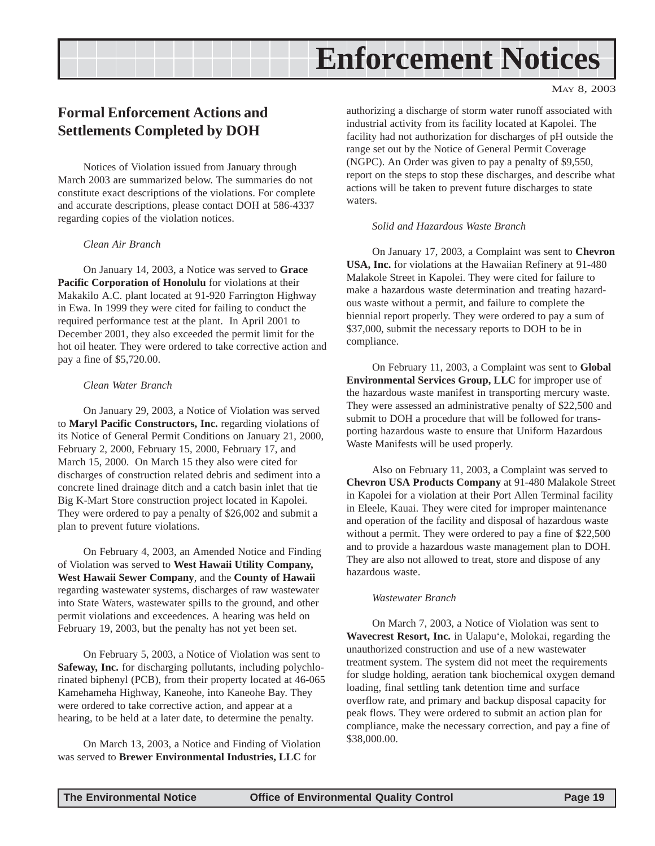## **Enforcement Notices**

### <span id="page-18-0"></span>**Formal Enforcement Actions and Settlements Completed by DOH**

Notices of Violation issued from January through March 2003 are summarized below. The summaries do not constitute exact descriptions of the violations. For complete and accurate descriptions, please contact DOH at 586-4337 regarding copies of the violation notices.

#### *Clean Air Branch*

On January 14, 2003, a Notice was served to **Grace Pacific Corporation of Honolulu** for violations at their Makakilo A.C. plant located at 91-920 Farrington Highway in Ewa. In 1999 they were cited for failing to conduct the required performance test at the plant. In April 2001 to December 2001, they also exceeded the permit limit for the hot oil heater. They were ordered to take corrective action and pay a fine of \$5,720.00.

#### *Clean Water Branch*

On January 29, 2003, a Notice of Violation was served to **Maryl Pacific Constructors, Inc.** regarding violations of its Notice of General Permit Conditions on January 21, 2000, February 2, 2000, February 15, 2000, February 17, and March 15, 2000. On March 15 they also were cited for discharges of construction related debris and sediment into a concrete lined drainage ditch and a catch basin inlet that tie Big K-Mart Store construction project located in Kapolei. They were ordered to pay a penalty of \$26,002 and submit a plan to prevent future violations.

On February 4, 2003, an Amended Notice and Finding of Violation was served to **West Hawaii Utility Company, West Hawaii Sewer Company**, and the **County of Hawaii** regarding wastewater systems, discharges of raw wastewater into State Waters, wastewater spills to the ground, and other permit violations and exceedences. A hearing was held on February 19, 2003, but the penalty has not yet been set.

On February 5, 2003, a Notice of Violation was sent to **Safeway, Inc.** for discharging pollutants, including polychlorinated biphenyl (PCB), from their property located at 46-065 Kamehameha Highway, Kaneohe, into Kaneohe Bay. They were ordered to take corrective action, and appear at a hearing, to be held at a later date, to determine the penalty.

On March 13, 2003, a Notice and Finding of Violation was served to **Brewer Environmental Industries, LLC** for

authorizing a discharge of storm water runoff associated with industrial activity from its facility located at Kapolei. The facility had not authorization for discharges of pH outside the range set out by the Notice of General Permit Coverage (NGPC). An Order was given to pay a penalty of \$9,550, report on the steps to stop these discharges, and describe what actions will be taken to prevent future discharges to state waters.

#### *Solid and Hazardous Waste Branch*

On January 17, 2003, a Complaint was sent to **Chevron USA, Inc.** for violations at the Hawaiian Refinery at 91-480 Malakole Street in Kapolei. They were cited for failure to make a hazardous waste determination and treating hazardous waste without a permit, and failure to complete the biennial report properly. They were ordered to pay a sum of \$37,000, submit the necessary reports to DOH to be in compliance.

On February 11, 2003, a Complaint was sent to **Global Environmental Services Group, LLC** for improper use of the hazardous waste manifest in transporting mercury waste. They were assessed an administrative penalty of \$22,500 and submit to DOH a procedure that will be followed for transporting hazardous waste to ensure that Uniform Hazardous Waste Manifests will be used properly.

Also on February 11, 2003, a Complaint was served to **Chevron USA Products Company** at 91-480 Malakole Street in Kapolei for a violation at their Port Allen Terminal facility in Eleele, Kauai. They were cited for improper maintenance and operation of the facility and disposal of hazardous waste without a permit. They were ordered to pay a fine of \$22,500 and to provide a hazardous waste management plan to DOH. They are also not allowed to treat, store and dispose of any hazardous waste.

#### *Wastewater Branch*

On March 7, 2003, a Notice of Violation was sent to **Wavecrest Resort, Inc.** in Ualapu'e, Molokai, regarding the unauthorized construction and use of a new wastewater treatment system. The system did not meet the requirements for sludge holding, aeration tank biochemical oxygen demand loading, final settling tank detention time and surface overflow rate, and primary and backup disposal capacity for peak flows. They were ordered to submit an action plan for compliance, make the necessary correction, and pay a fine of \$38,000.00.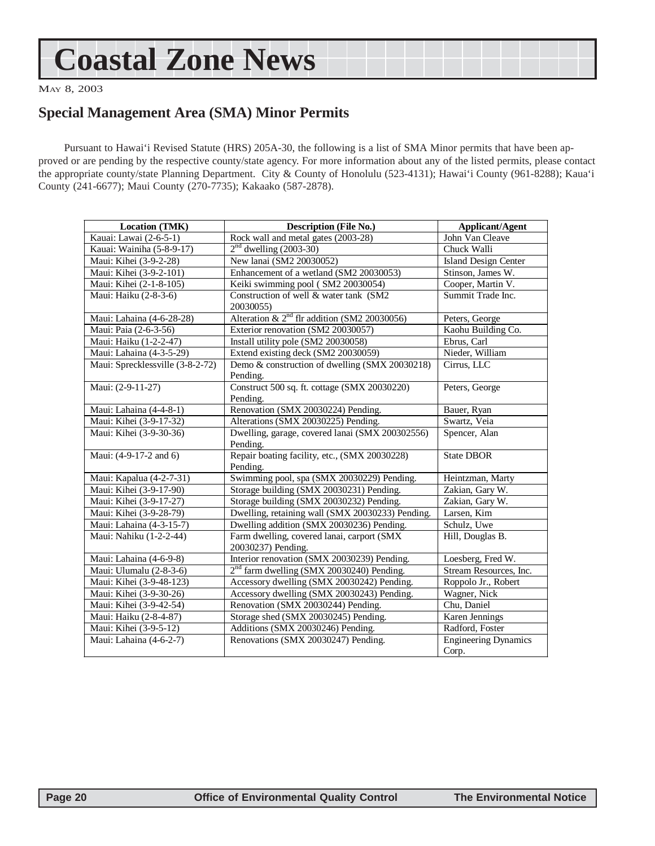## <span id="page-19-0"></span>**Coastal Zone News**

MAY 8, 2003

### **Special Management Area (SMA) Minor Permits**

Pursuant to Hawai'i Revised Statute (HRS) 205A-30, the following is a list of SMA Minor permits that have been approved or are pending by the respective county/state agency. For more information about any of the listed permits, please contact the appropriate county/state Planning Department. City & County of Honolulu (523-4131); Hawai'i County (961-8288); Kaua'i County (241-6677); Maui County (270-7735); Kakaako (587-2878).

| Location (TMK)                   | <b>Description (File No.)</b>                                    | <b>Applicant/Agent</b>               |
|----------------------------------|------------------------------------------------------------------|--------------------------------------|
| Kauai: Lawai (2-6-5-1)           | Rock wall and metal gates (2003-28)                              | John Van Cleave                      |
| Kauai: Wainiha (5-8-9-17)        | $2nd$ dwelling (2003-30)                                         | Chuck Walli                          |
| Maui: Kihei (3-9-2-28)           | New lanai (SM2 20030052)                                         | <b>Island Design Center</b>          |
| Maui: Kihei (3-9-2-101)          | Enhancement of a wetland (SM2 20030053)                          | Stinson, James W.                    |
| Maui: Kihei (2-1-8-105)          | Keiki swimming pool (SM2 20030054)                               | Cooper, Martin V.                    |
| Maui: Haiku (2-8-3-6)            | Construction of well & water tank (SM2<br>20030055)              | Summit Trade Inc.                    |
| Maui: Lahaina (4-6-28-28)        | Alteration & $2nd$ flr addition (SM2 20030056)                   | Peters, George                       |
| Maui: Paia (2-6-3-56)            | Exterior renovation (SM2 20030057)                               | Kaohu Building Co.                   |
| Maui: Haiku (1-2-2-47)           | Install utility pole (SM2 20030058)                              | Ebrus, Carl                          |
| Maui: Lahaina (4-3-5-29)         | Extend existing deck (SM2 20030059)                              | Nieder, William                      |
| Maui: Sprecklessville (3-8-2-72) | Demo & construction of dwelling (SMX 20030218)<br>Pending.       | Cirrus, LLC                          |
| Maui: (2-9-11-27)                | Construct 500 sq. ft. cottage (SMX 20030220)<br>Pending.         | Peters, George                       |
| Maui: Lahaina (4-4-8-1)          | Renovation (SMX 20030224) Pending.                               | Bauer, Ryan                          |
| Maui: Kihei (3-9-17-32)          | Alterations (SMX 20030225) Pending.                              | Swartz, Veia                         |
| Maui: Kihei (3-9-30-36)          | Dwelling, garage, covered lanai (SMX 200302556)<br>Pending.      | Spencer, Alan                        |
| Maui: (4-9-17-2 and 6)           | Repair boating facility, etc., (SMX 20030228)<br>Pending.        | <b>State DBOR</b>                    |
| Maui: Kapalua (4-2-7-31)         | Swimming pool, spa (SMX 20030229) Pending.                       | Heintzman, Marty                     |
| Maui: Kihei (3-9-17-90)          | Storage building (SMX 20030231) Pending.                         | Zakian, Gary W.                      |
| Maui: Kihei (3-9-17-27)          | Storage building (SMX 20030232) Pending.                         | Zakian, Gary W.                      |
| Maui: Kihei (3-9-28-79)          | Dwelling, retaining wall (SMX 20030233) Pending.                 | Larsen, Kim                          |
| Maui: Lahaina (4-3-15-7)         | Dwelling addition (SMX 20030236) Pending.                        | Schulz, Uwe                          |
| Maui: Nahiku (1-2-2-44)          | Farm dwelling, covered lanai, carport (SMX<br>20030237) Pending. | Hill, Douglas B.                     |
| Maui: Lahaina (4-6-9-8)          | Interior renovation (SMX 20030239) Pending.                      | Loesberg, Fred W.                    |
| Maui: Ulumalu (2-8-3-6)          | 2 <sup>nd</sup> farm dwelling (SMX 20030240) Pending.            | Stream Resources, Inc.               |
| Maui: Kihei (3-9-48-123)         | Accessory dwelling (SMX 20030242) Pending.                       | Roppolo Jr., Robert                  |
| Maui: Kihei (3-9-30-26)          | Accessory dwelling (SMX 20030243) Pending.                       | Wagner, Nick                         |
| Maui: Kihei (3-9-42-54)          | Renovation (SMX 20030244) Pending.                               | Chu, Daniel                          |
| Maui: Haiku (2-8-4-87)           | Storage shed (SMX 20030245) Pending.                             | Karen Jennings                       |
| Maui: Kihei (3-9-5-12)           | Additions (SMX 20030246) Pending.                                | Radford, Foster                      |
| Maui: Lahaina (4-6-2-7)          | Renovations (SMX 20030247) Pending.                              | <b>Engineering Dynamics</b><br>Corp. |